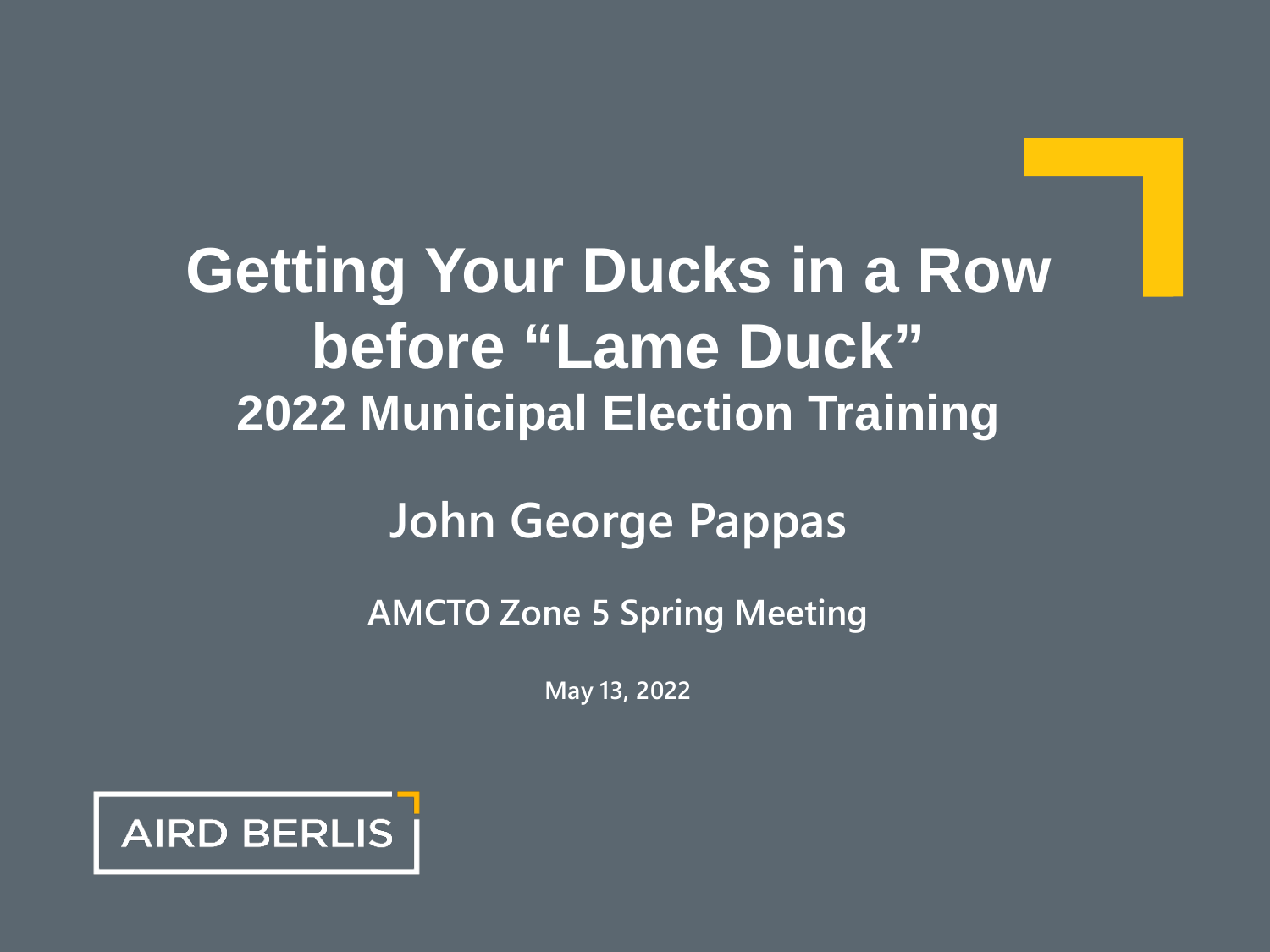# **Getting Your Ducks in a Row before "Lame Duck" 2022 Municipal Election Training**

#### **John George Pappas**

#### **AMCTO Zone 5 Spring Meeting**

**May 13, 2022**

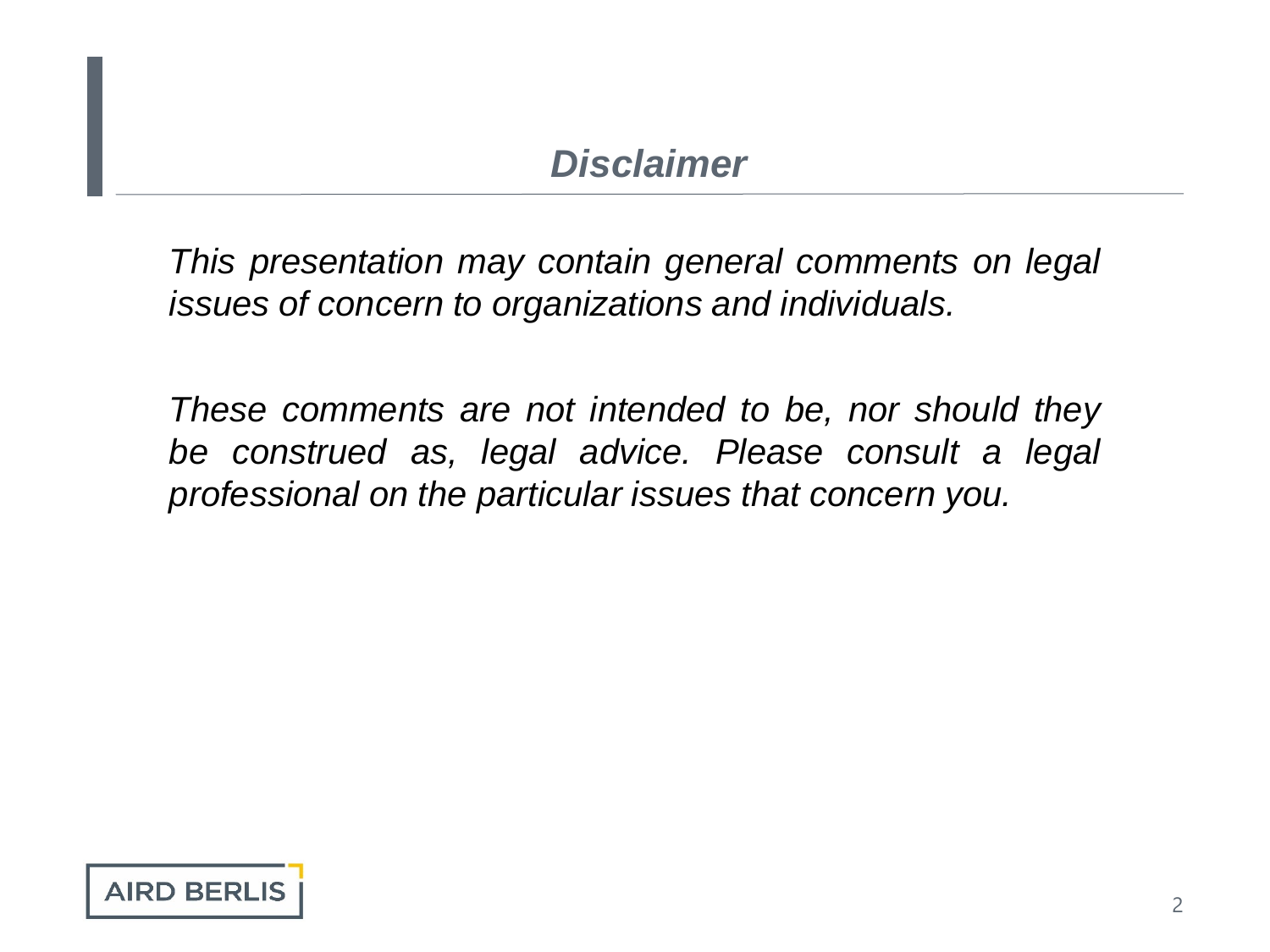#### *Disclaimer*

*This presentation may contain general comments on legal issues of concern to organizations and individuals.*

*These comments are not intended to be, nor should they be construed as, legal advice. Please consult a legal professional on the particular issues that concern you.*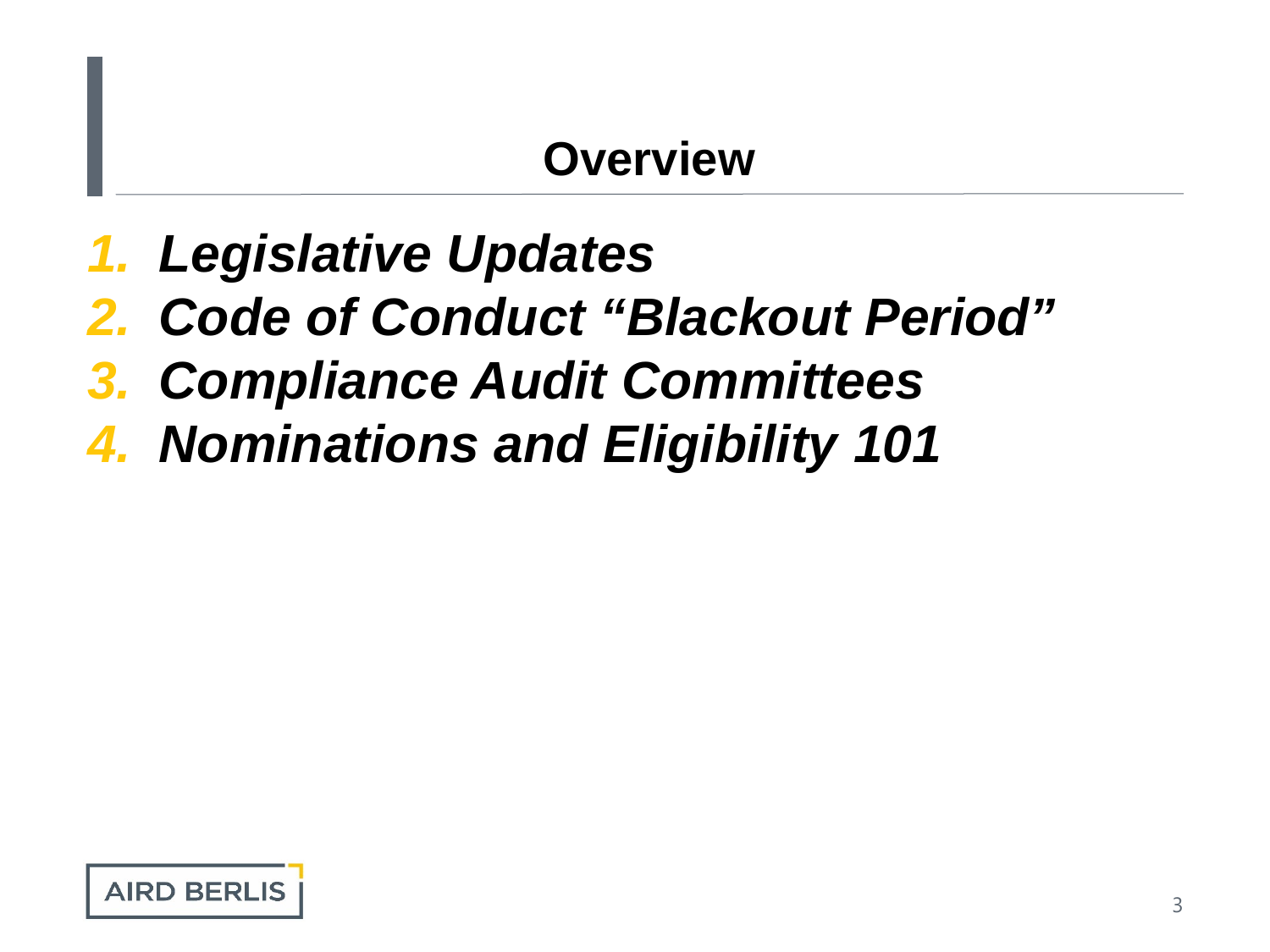#### **Overview**

- *1. Legislative Updates*
- *2. Code of Conduct "Blackout Period"*
- *3. Compliance Audit Committees*
- *4. Nominations and Eligibility 101*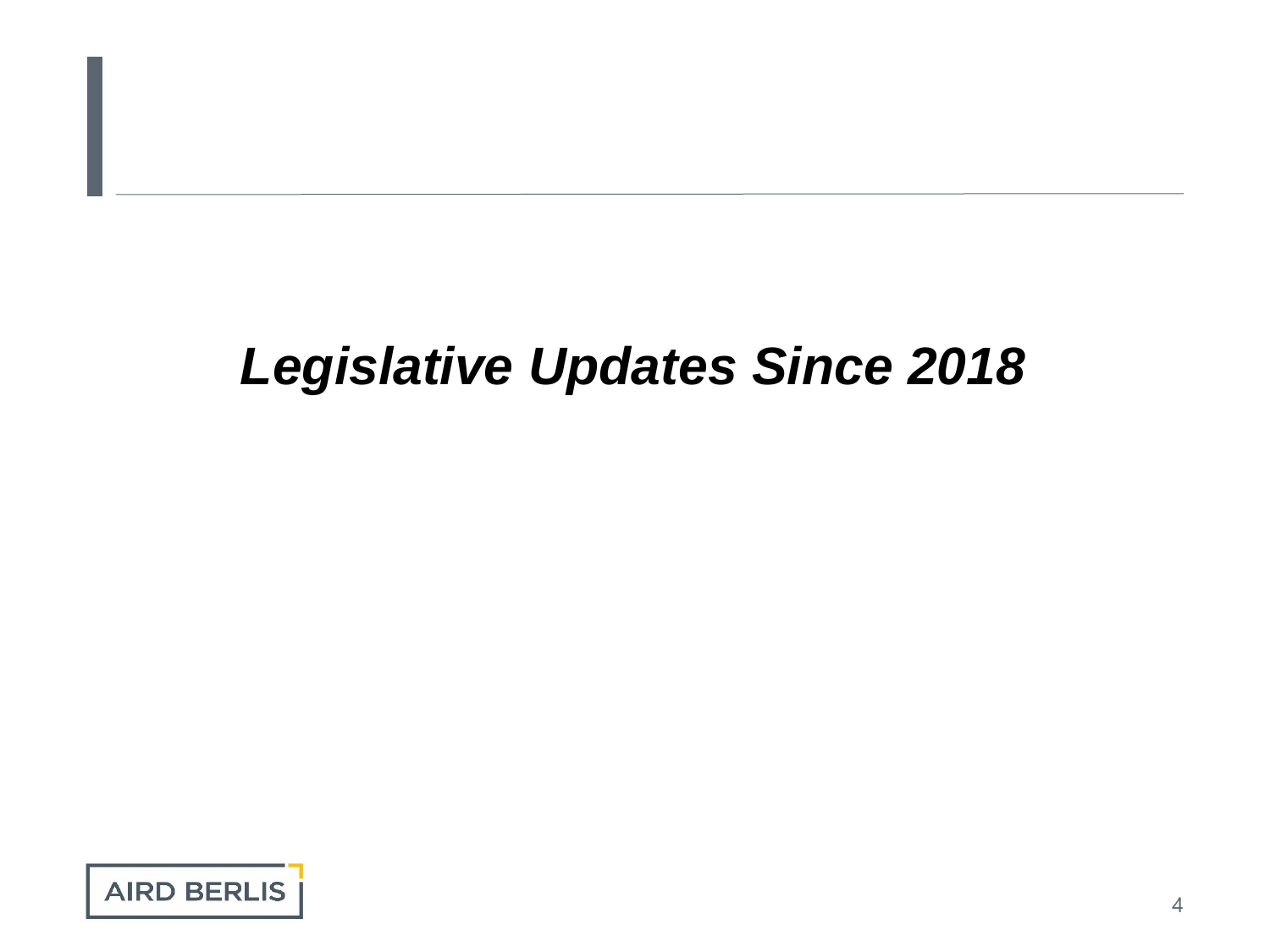# *Legislative Updates Since 2018*

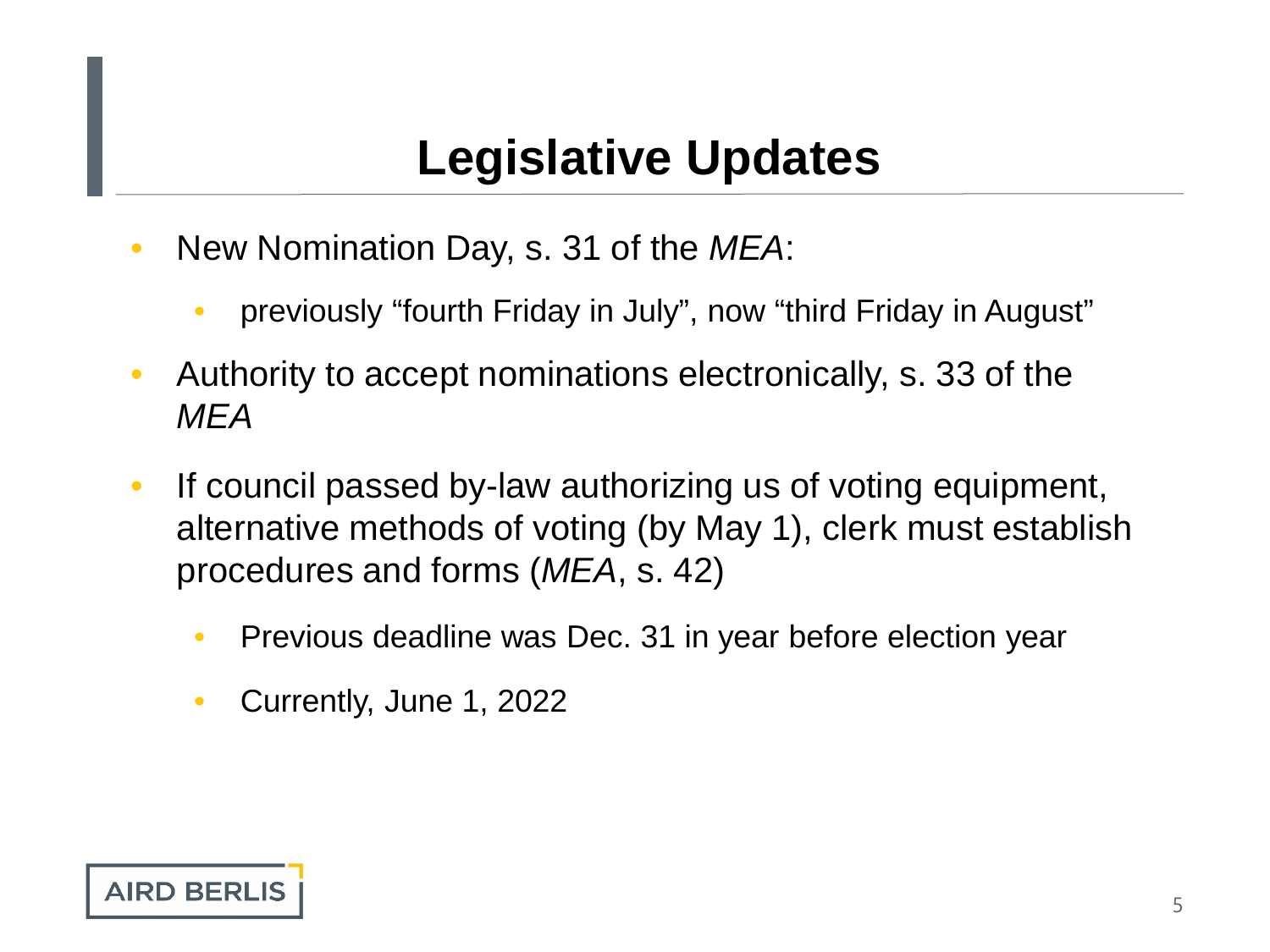#### **Legislative Updates**

- New Nomination Day, s. 31 of the *MEA*:
	- previously "fourth Friday in July", now "third Friday in August"
- Authority to accept nominations electronically, s. 33 of the *MEA*
- If council passed by-law authorizing us of voting equipment, alternative methods of voting (by May 1), clerk must establish procedures and forms (*MEA*, s. 42)
	- Previous deadline was Dec. 31 in year before election year
	- Currently, June 1, 2022

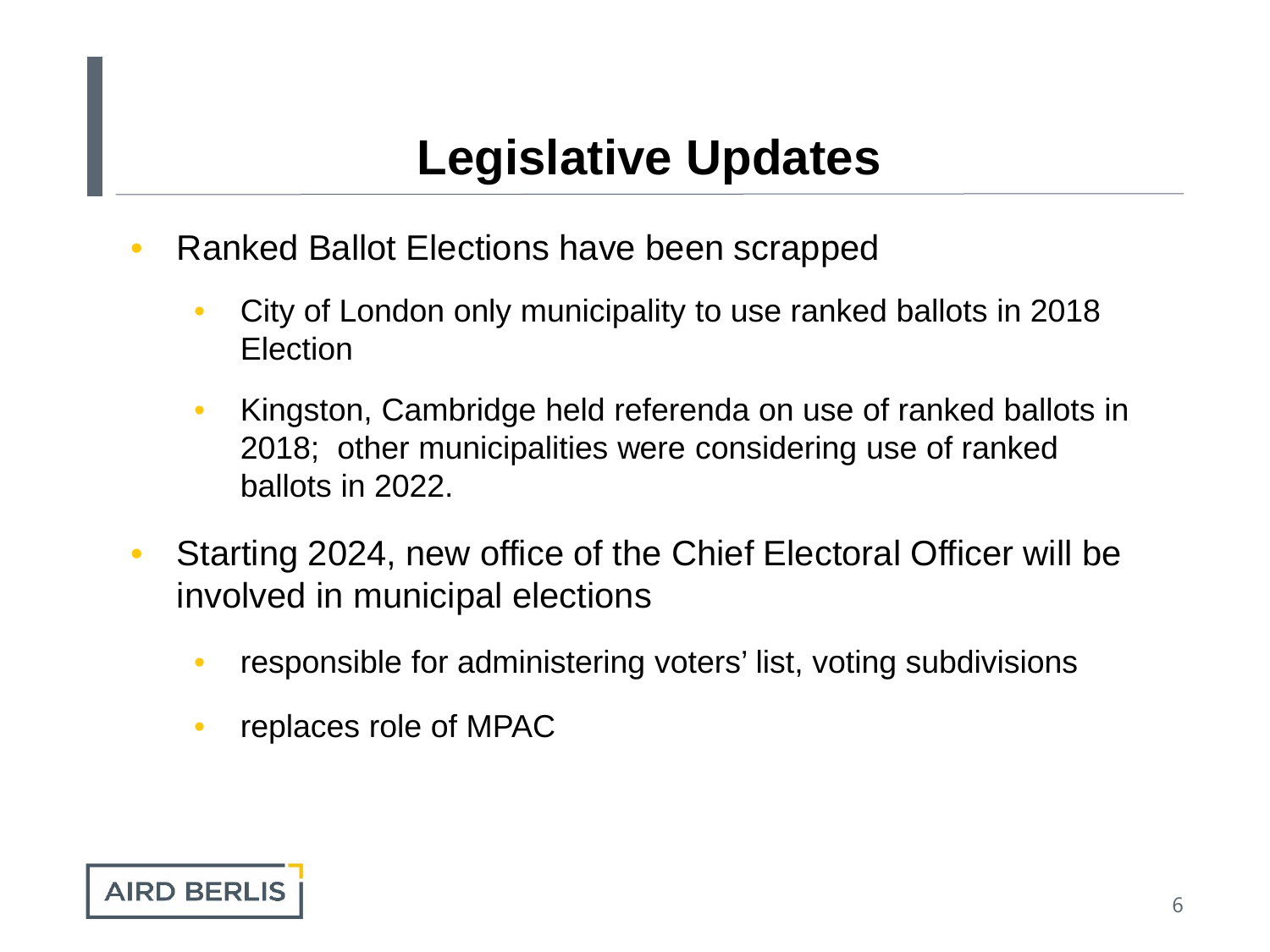#### **Legislative Updates**

- Ranked Ballot Elections have been scrapped
	- City of London only municipality to use ranked ballots in 2018 Election
	- Kingston, Cambridge held referenda on use of ranked ballots in 2018; other municipalities were considering use of ranked ballots in 2022.
- Starting 2024, new office of the Chief Electoral Officer will be involved in municipal elections
	- responsible for administering voters' list, voting subdivisions
	- replaces role of MPAC

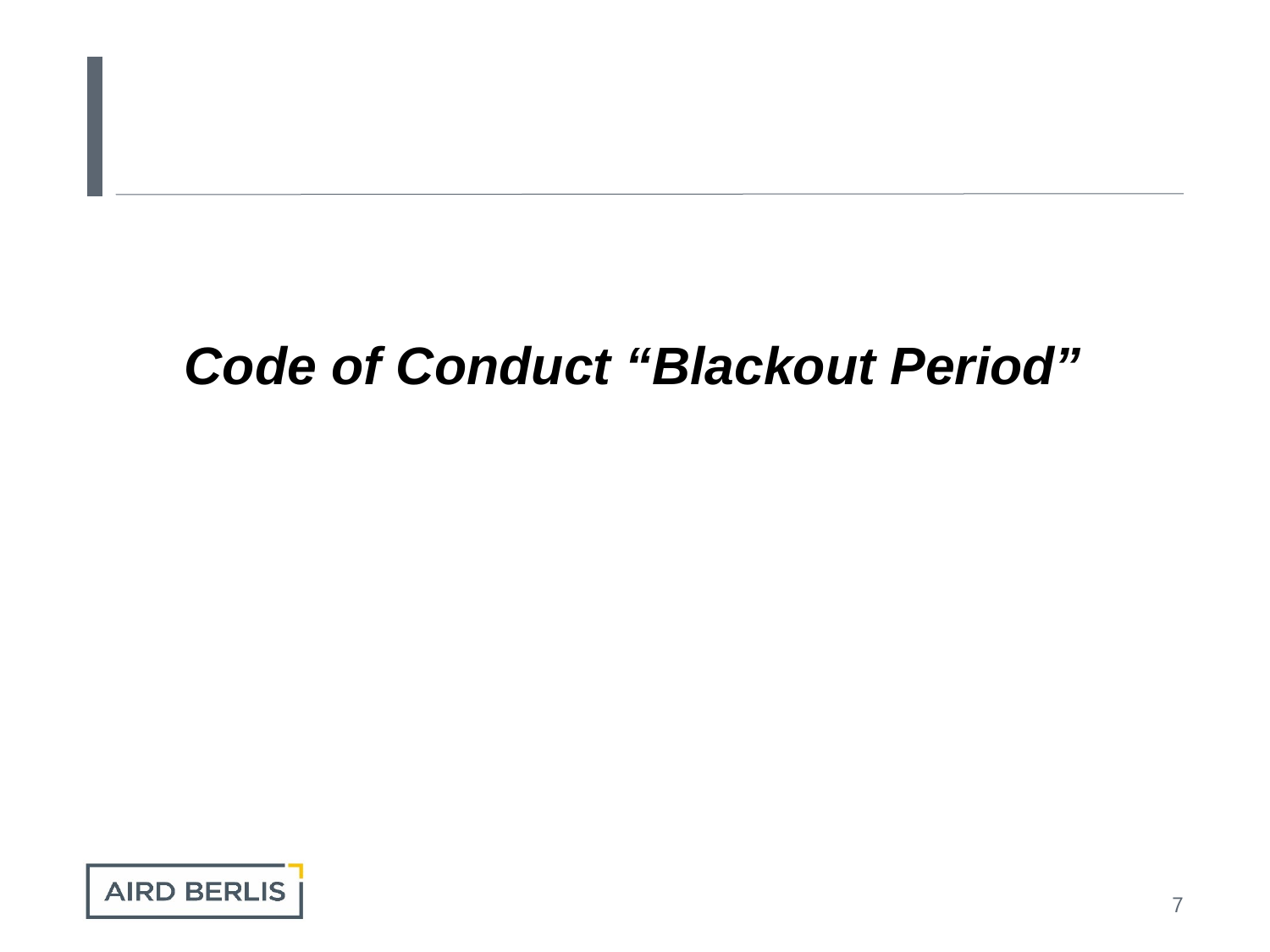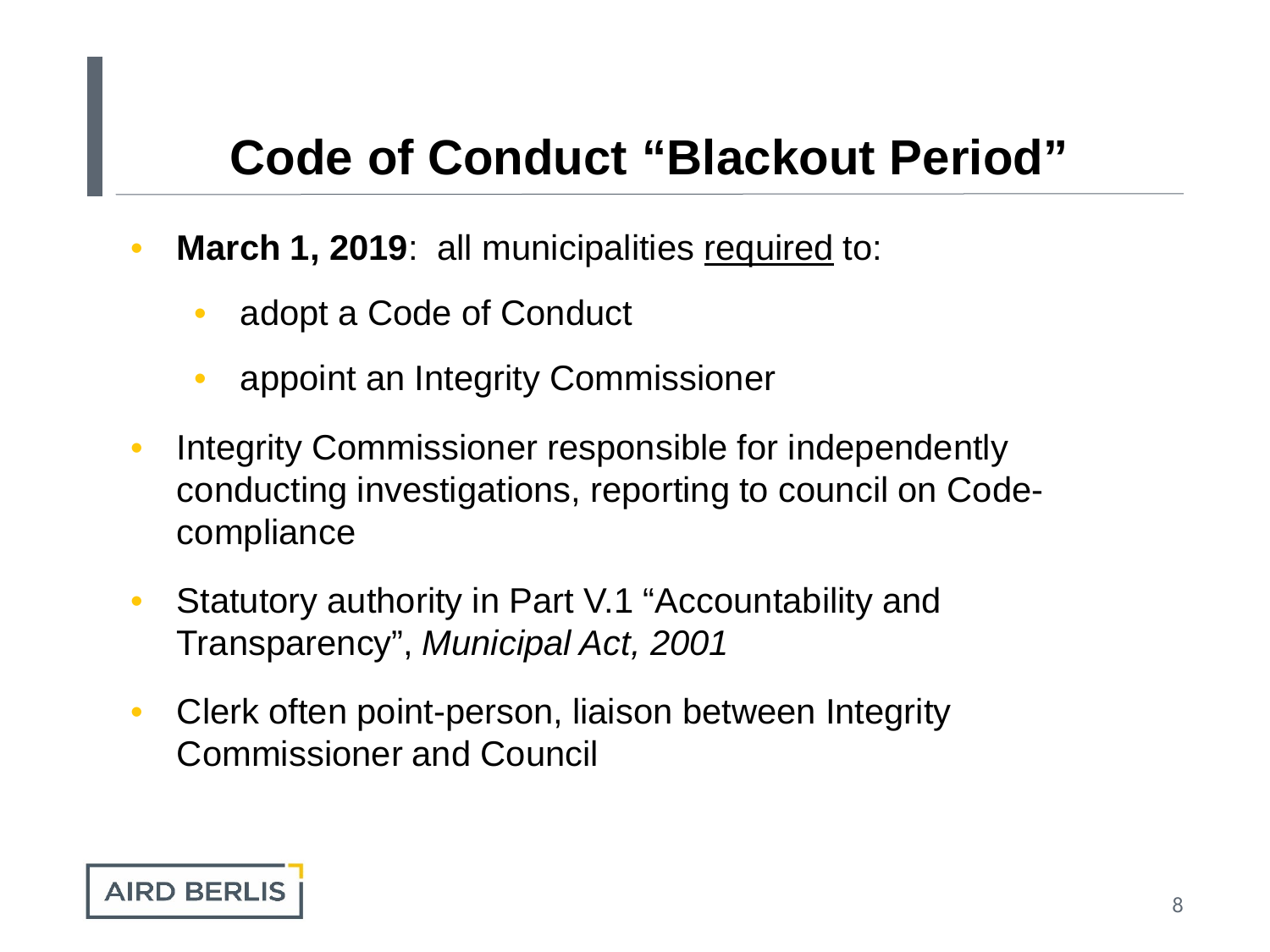- March 1, 2019: all municipalities required to:
	- adopt a Code of Conduct
	- appoint an Integrity Commissioner
- Integrity Commissioner responsible for independently conducting investigations, reporting to council on Codecompliance
- Statutory authority in Part V.1 "Accountability and Transparency", *Municipal Act, 2001*
- Clerk often point-person, liaison between Integrity Commissioner and Council

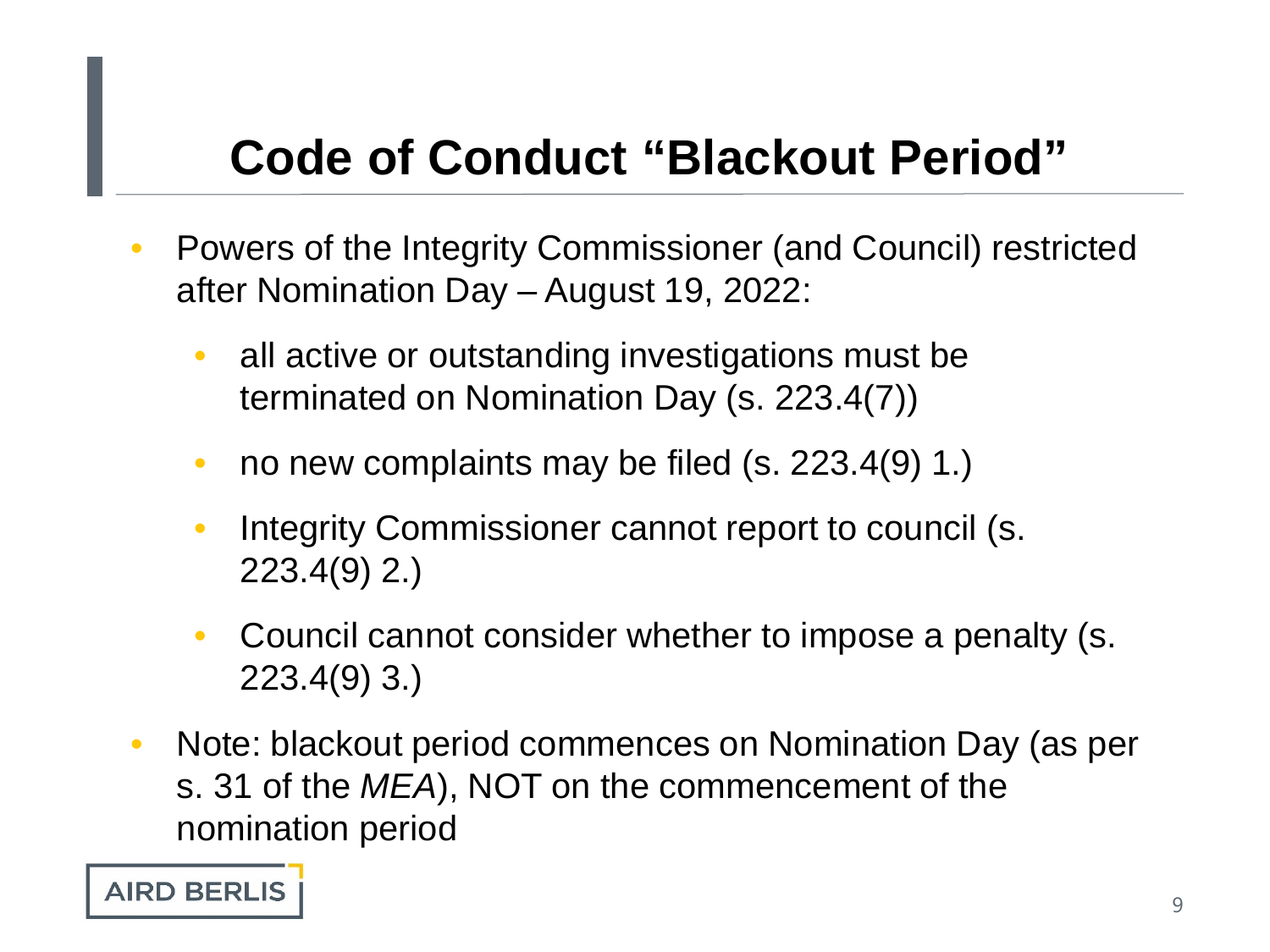- Powers of the Integrity Commissioner (and Council) restricted after Nomination Day – August 19, 2022:
	- all active or outstanding investigations must be terminated on Nomination Day (s. 223.4(7))
	- no new complaints may be filed (s. 223.4(9) 1.)
	- Integrity Commissioner cannot report to council (s. 223.4(9) 2.)
	- Council cannot consider whether to impose a penalty (s. 223.4(9) 3.)
- Note: blackout period commences on Nomination Day (as per s. 31 of the *MEA*), NOT on the commencement of the nomination period

**AIRD BERLIS**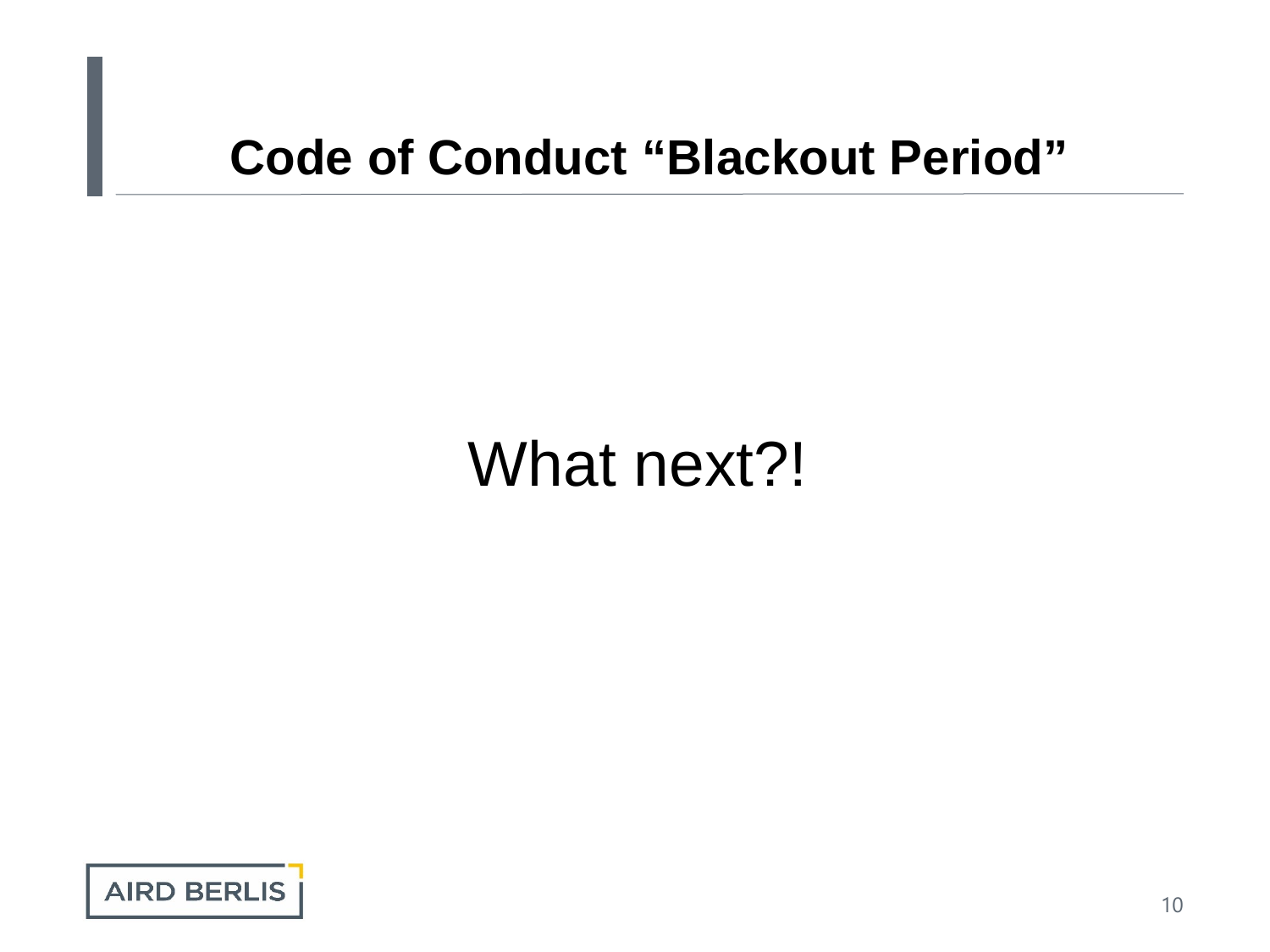# What next?!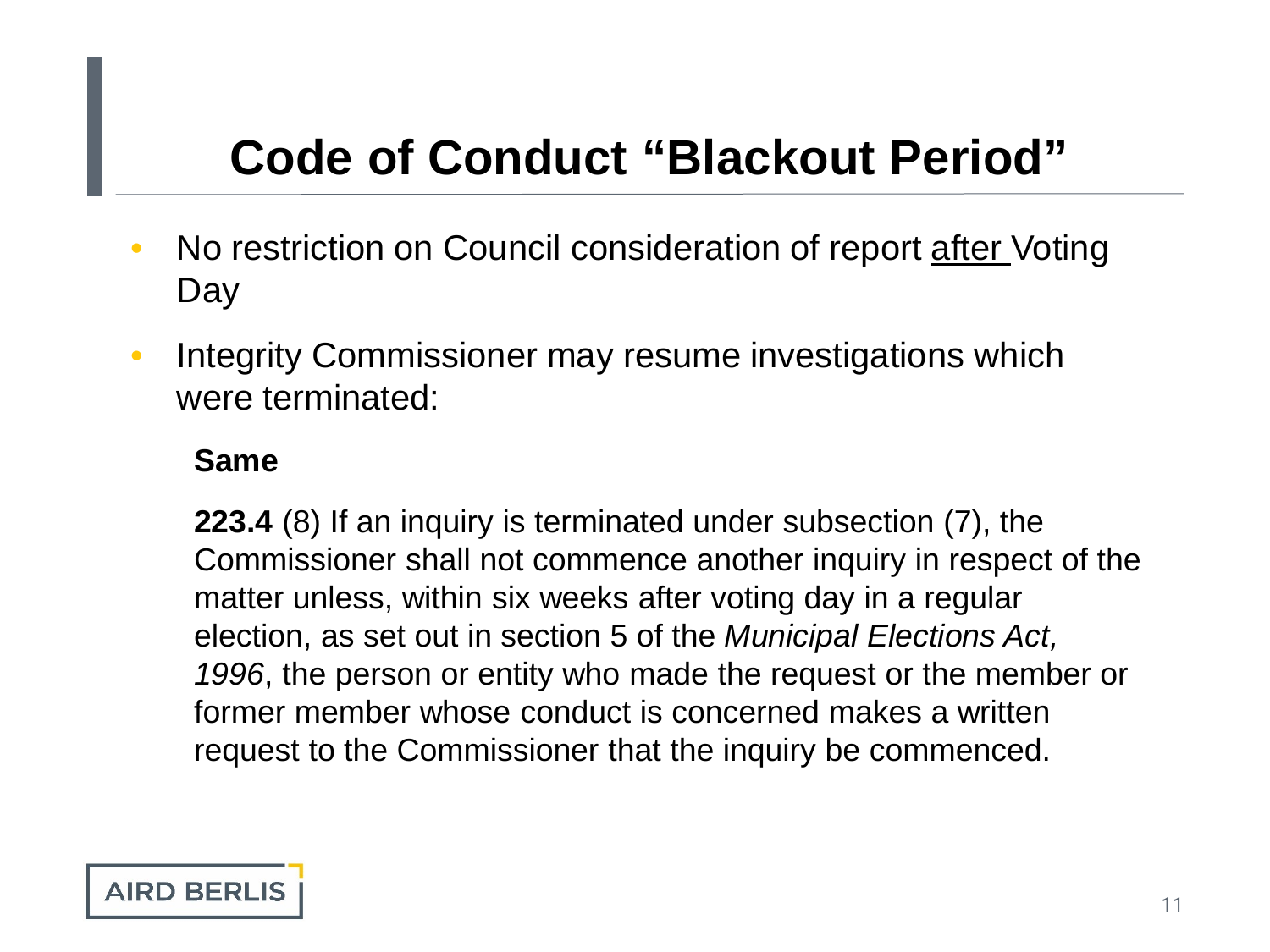- No restriction on Council consideration of report after Voting Day
- Integrity Commissioner may resume investigations which were terminated:

#### **Same**

**223.4** (8) If an inquiry is terminated under subsection (7), the Commissioner shall not commence another inquiry in respect of the matter unless, within six weeks after voting day in a regular election, as set out in section 5 of the *Municipal Elections Act, 1996*, the person or entity who made the request or the member or former member whose conduct is concerned makes a written request to the Commissioner that the inquiry be commenced.

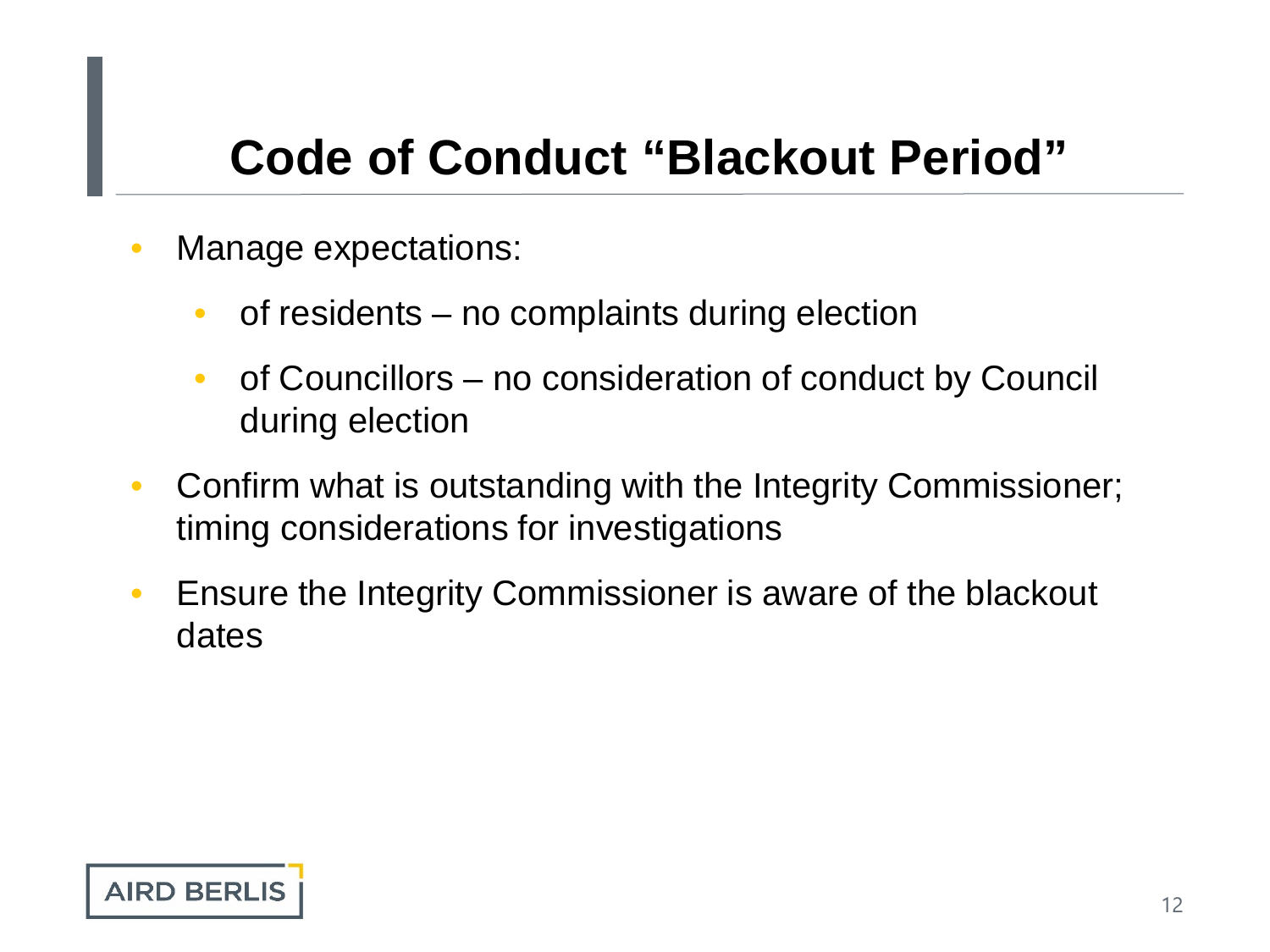- Manage expectations:
	- of residents no complaints during election
	- of Councillors no consideration of conduct by Council during election
- Confirm what is outstanding with the Integrity Commissioner; timing considerations for investigations
- Ensure the Integrity Commissioner is aware of the blackout dates

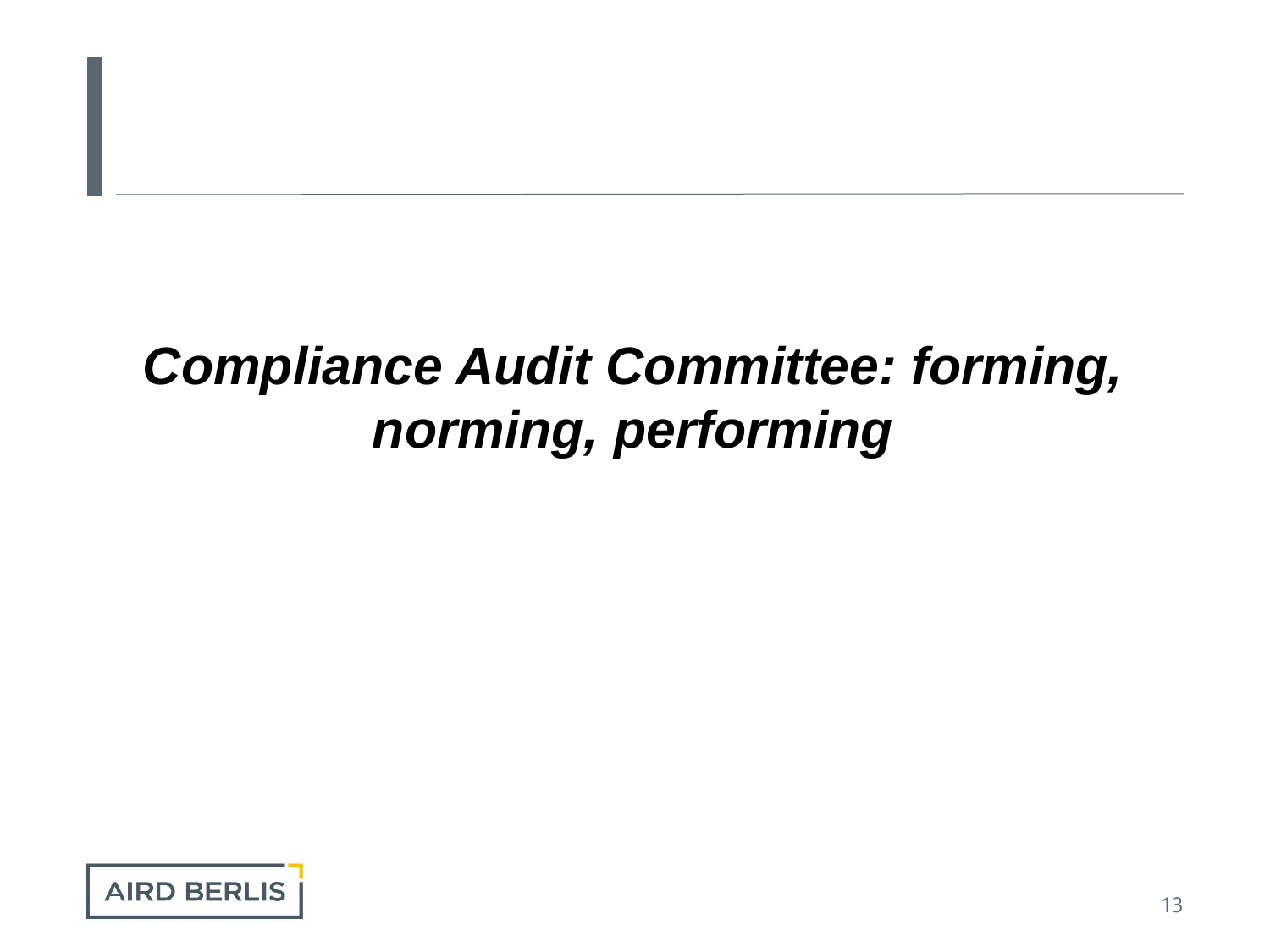# *Compliance Audit Committee: forming, norming, performing*

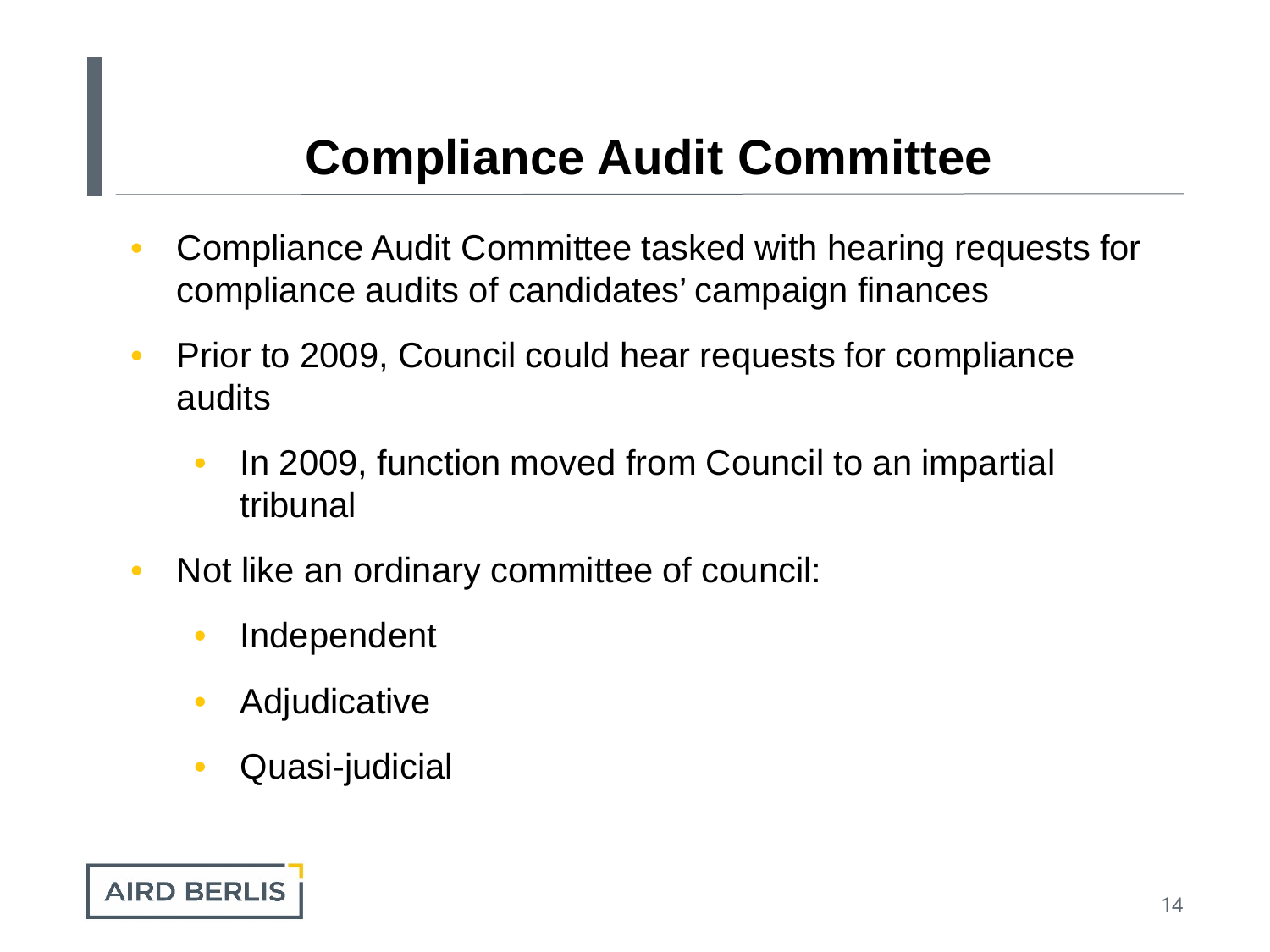- Compliance Audit Committee tasked with hearing requests for compliance audits of candidates' campaign finances
- Prior to 2009, Council could hear requests for compliance audits
	- In 2009, function moved from Council to an impartial tribunal
- Not like an ordinary committee of council:
	- Independent
	- Adjudicative
	- Quasi-judicial

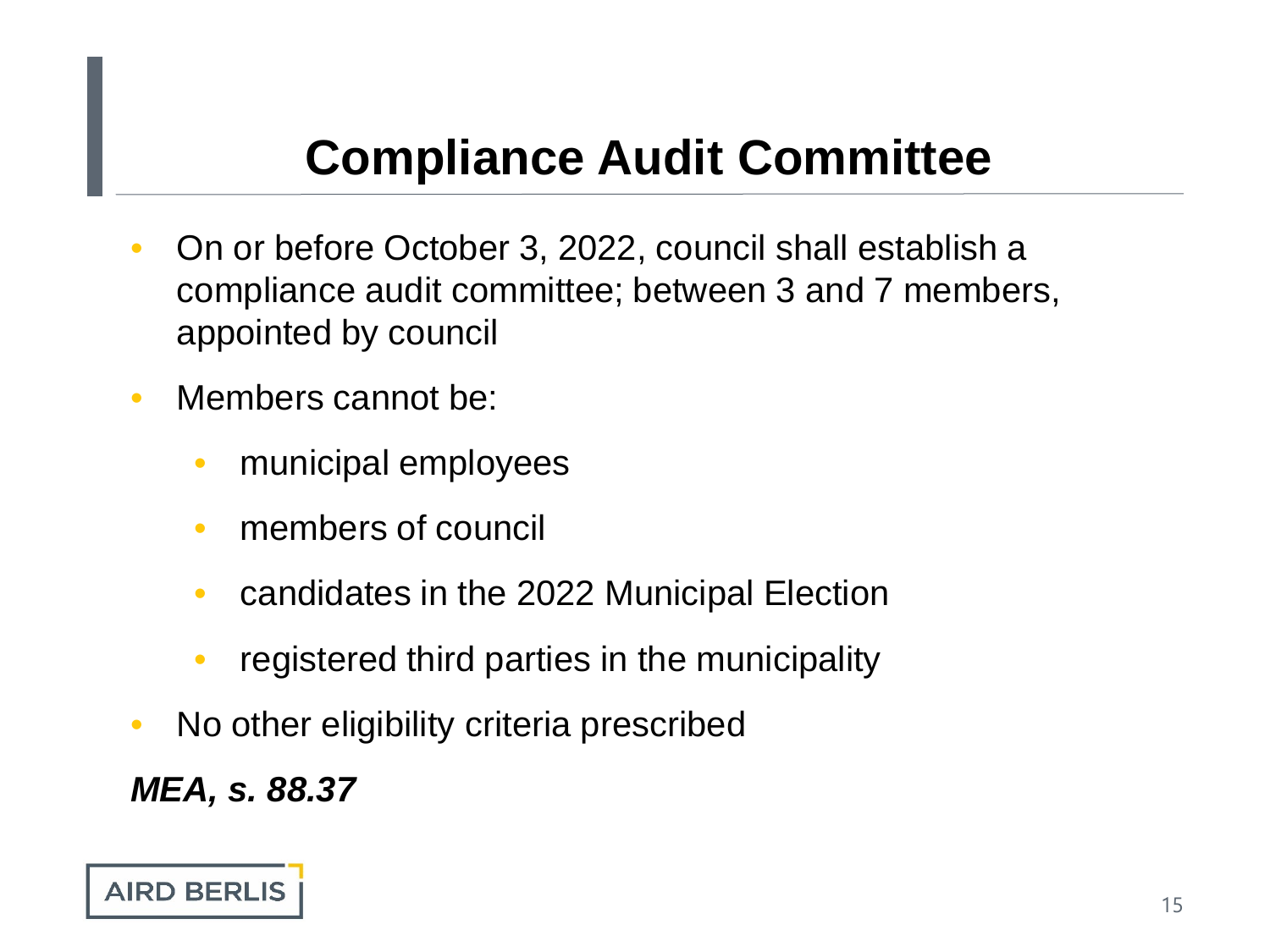- On or before October 3, 2022, council shall establish a compliance audit committee; between 3 and 7 members, appointed by council
- Members cannot be:
	- municipal employees
	- members of council
	- candidates in the 2022 Municipal Election
	- registered third parties in the municipality
- No other eligibility criteria prescribed

*MEA, s. 88.37*

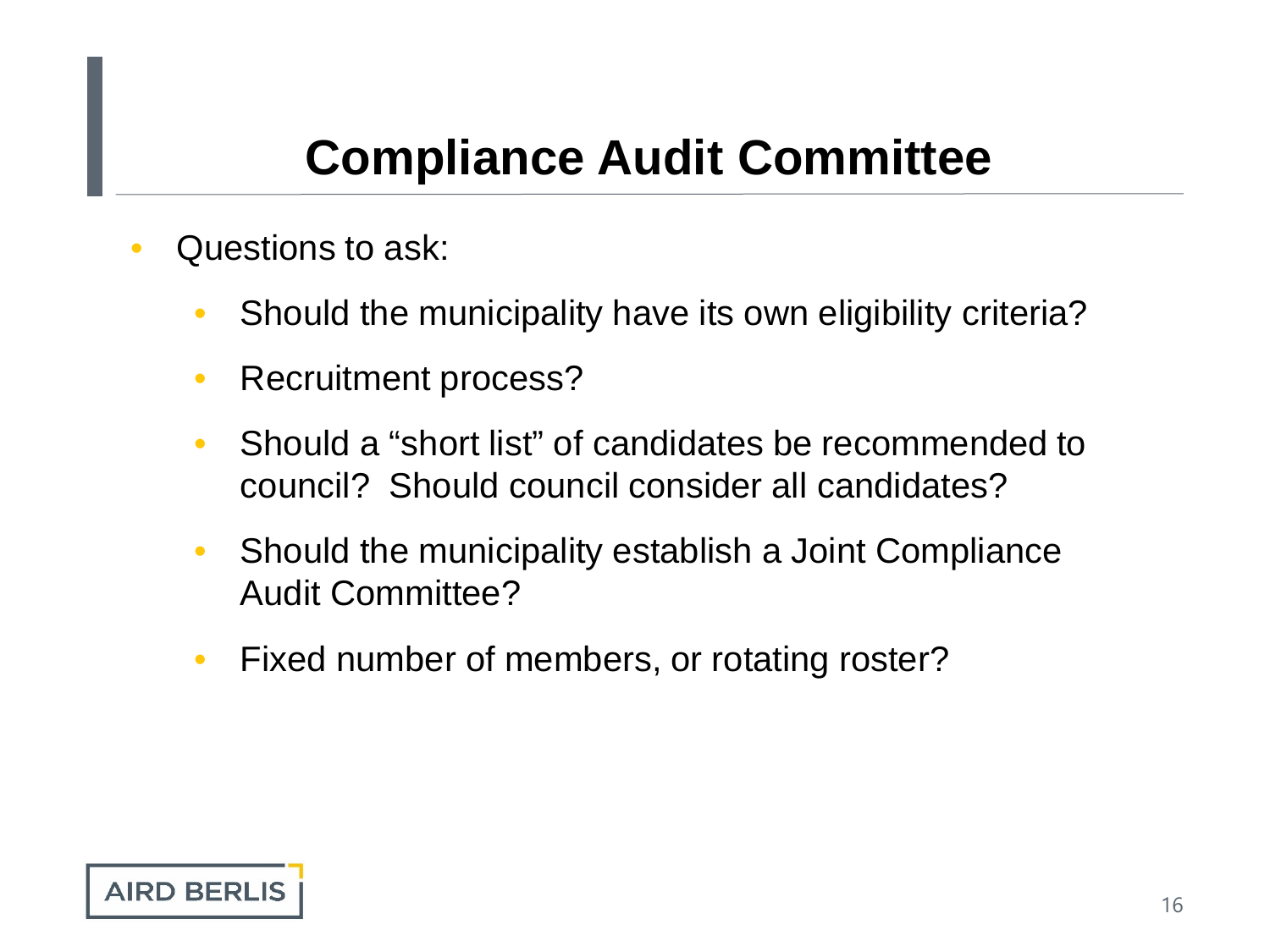- Questions to ask:
	- Should the municipality have its own eligibility criteria?
	- Recruitment process?
	- Should a "short list" of candidates be recommended to council? Should council consider all candidates?
	- Should the municipality establish a Joint Compliance Audit Committee?
	- Fixed number of members, or rotating roster?

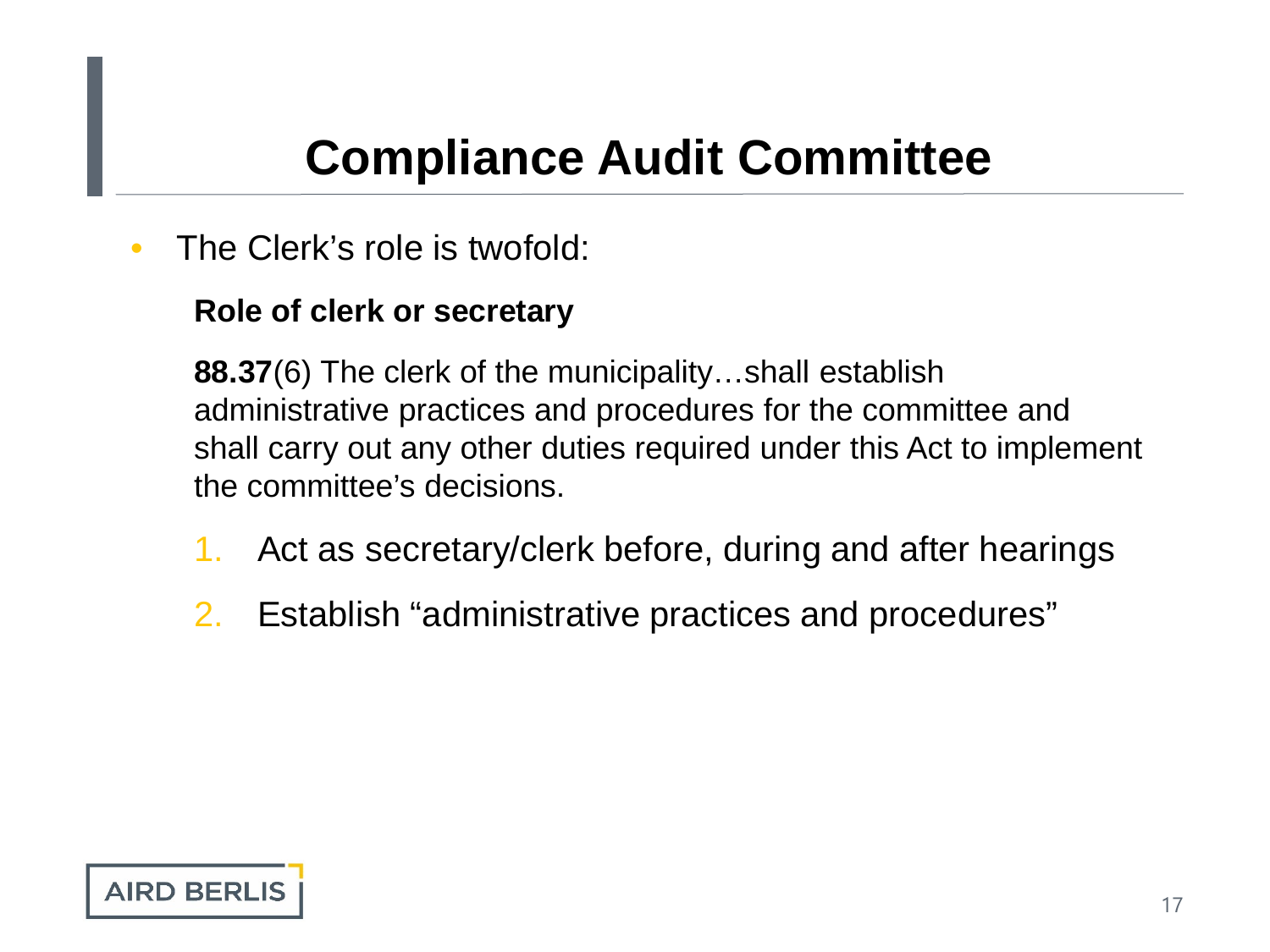The Clerk's role is twofold:

#### **Role of clerk or secretary**

**88.37**(6) The clerk of the municipality…shall establish administrative practices and procedures for the committee and shall carry out any other duties required under this Act to implement the committee's decisions.

- 1. Act as secretary/clerk before, during and after hearings
- 2. Establish "administrative practices and procedures"

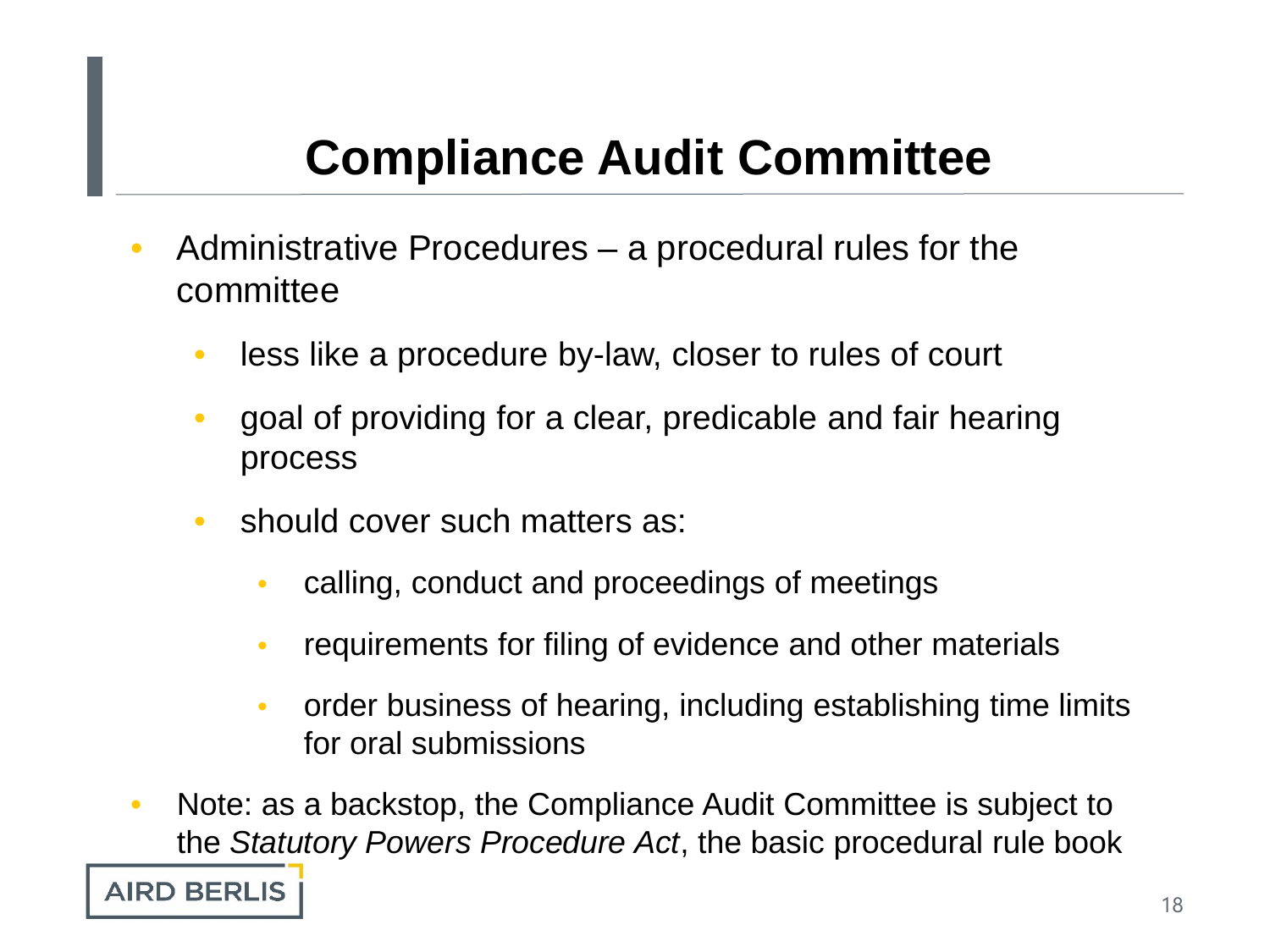- Administrative Procedures a procedural rules for the committee
	- less like a procedure by-law, closer to rules of court
	- goal of providing for a clear, predicable and fair hearing process
	- should cover such matters as:
		- calling, conduct and proceedings of meetings
		- requirements for filing of evidence and other materials
		- order business of hearing, including establishing time limits for oral submissions
- Note: as a backstop, the Compliance Audit Committee is subject to the *Statutory Powers Procedure Act*, the basic procedural rule book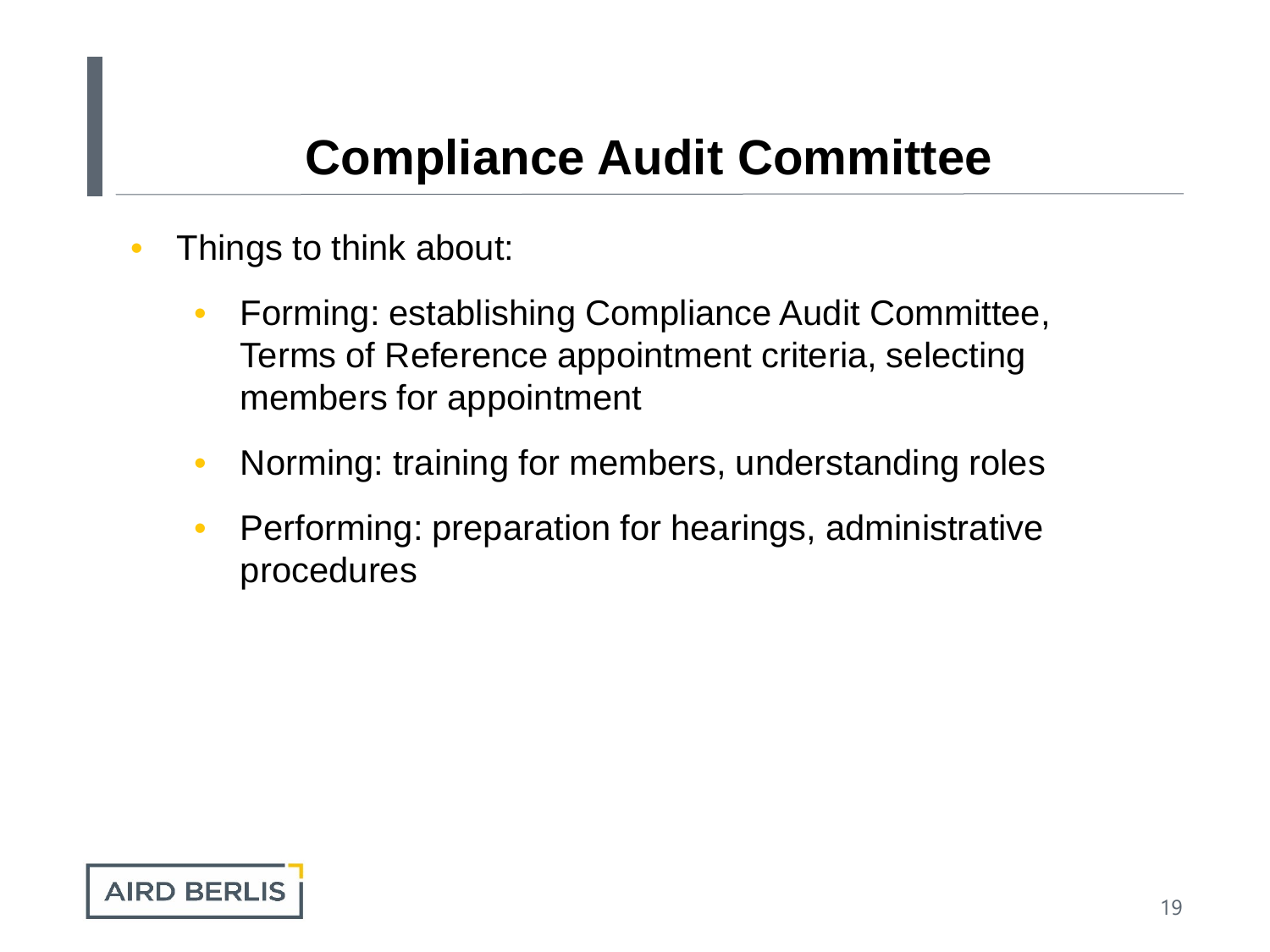- Things to think about:
	- Forming: establishing Compliance Audit Committee, Terms of Reference appointment criteria, selecting members for appointment
	- Norming: training for members, understanding roles
	- Performing: preparation for hearings, administrative procedures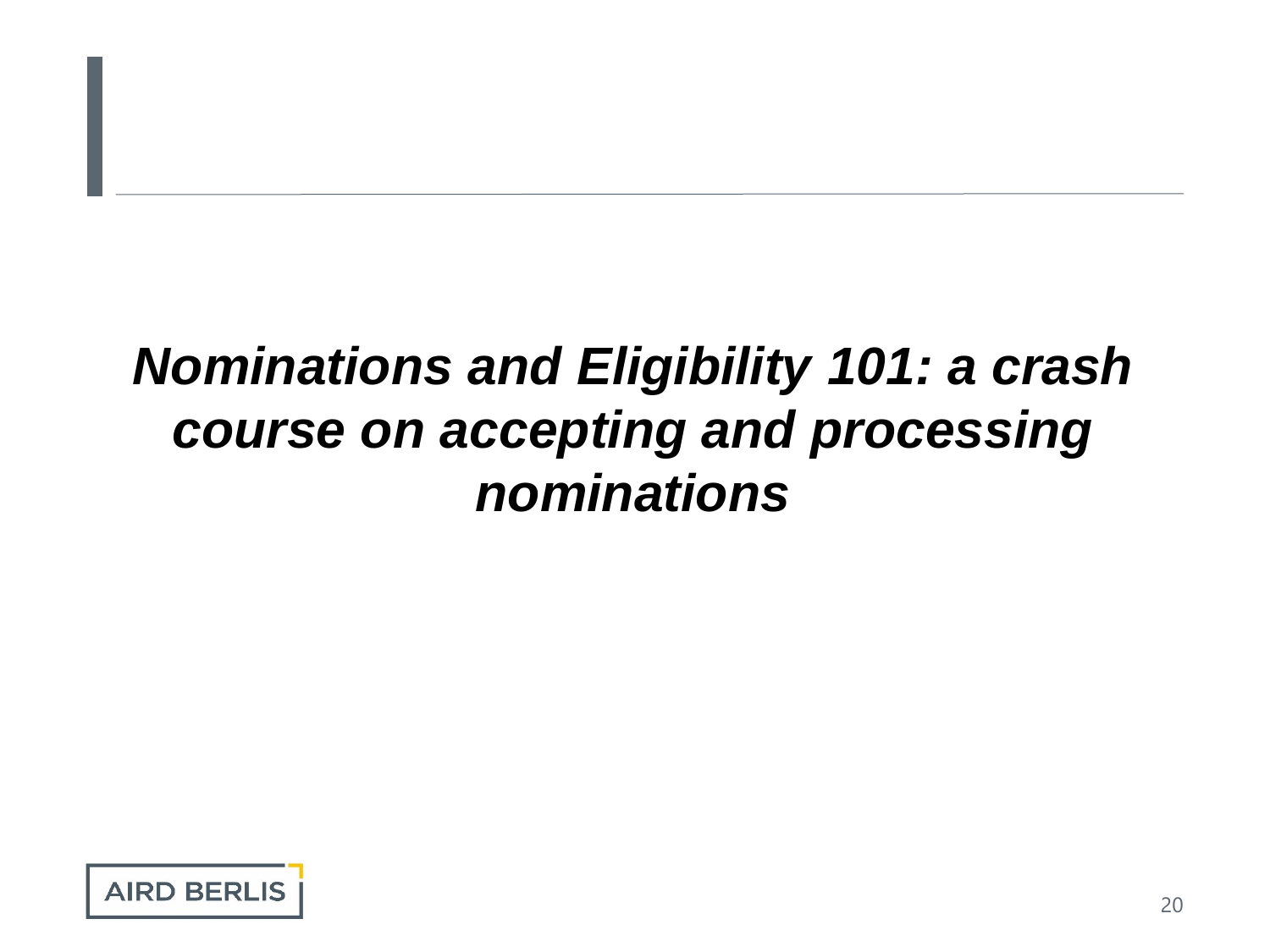# *Nominations and Eligibility 101: a crash course on accepting and processing nominations*

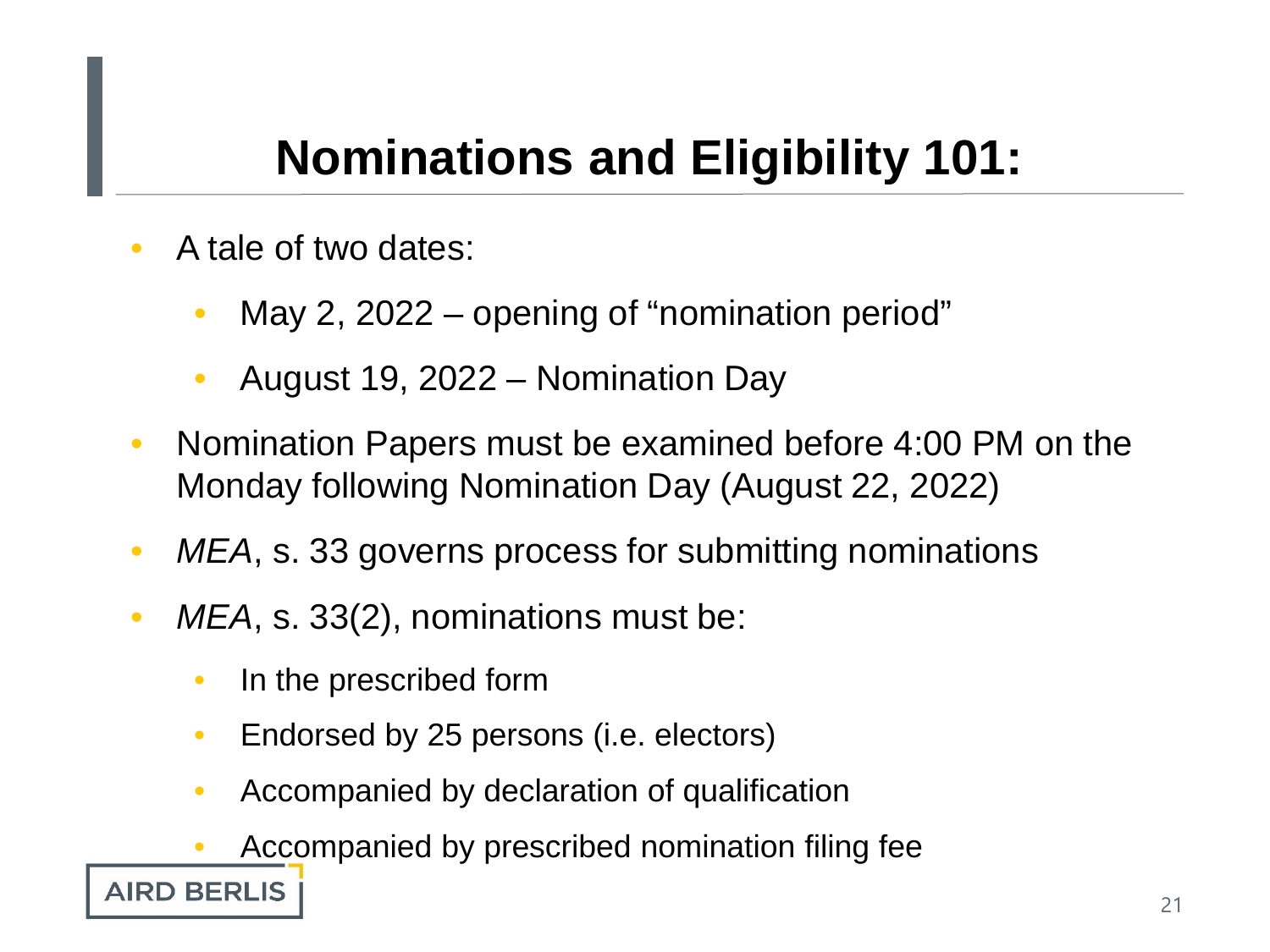- A tale of two dates:
	- May 2, 2022 opening of "nomination period"
	- August 19, 2022 Nomination Day
- Nomination Papers must be examined before 4:00 PM on the Monday following Nomination Day (August 22, 2022)
- MEA, s. 33 governs process for submitting nominations
- *MEA*, s. 33(2), nominations must be:
	- In the prescribed form
	- Endorsed by 25 persons (i.e. electors)
	- Accompanied by declaration of qualification
	- Accompanied by prescribed nomination filing fee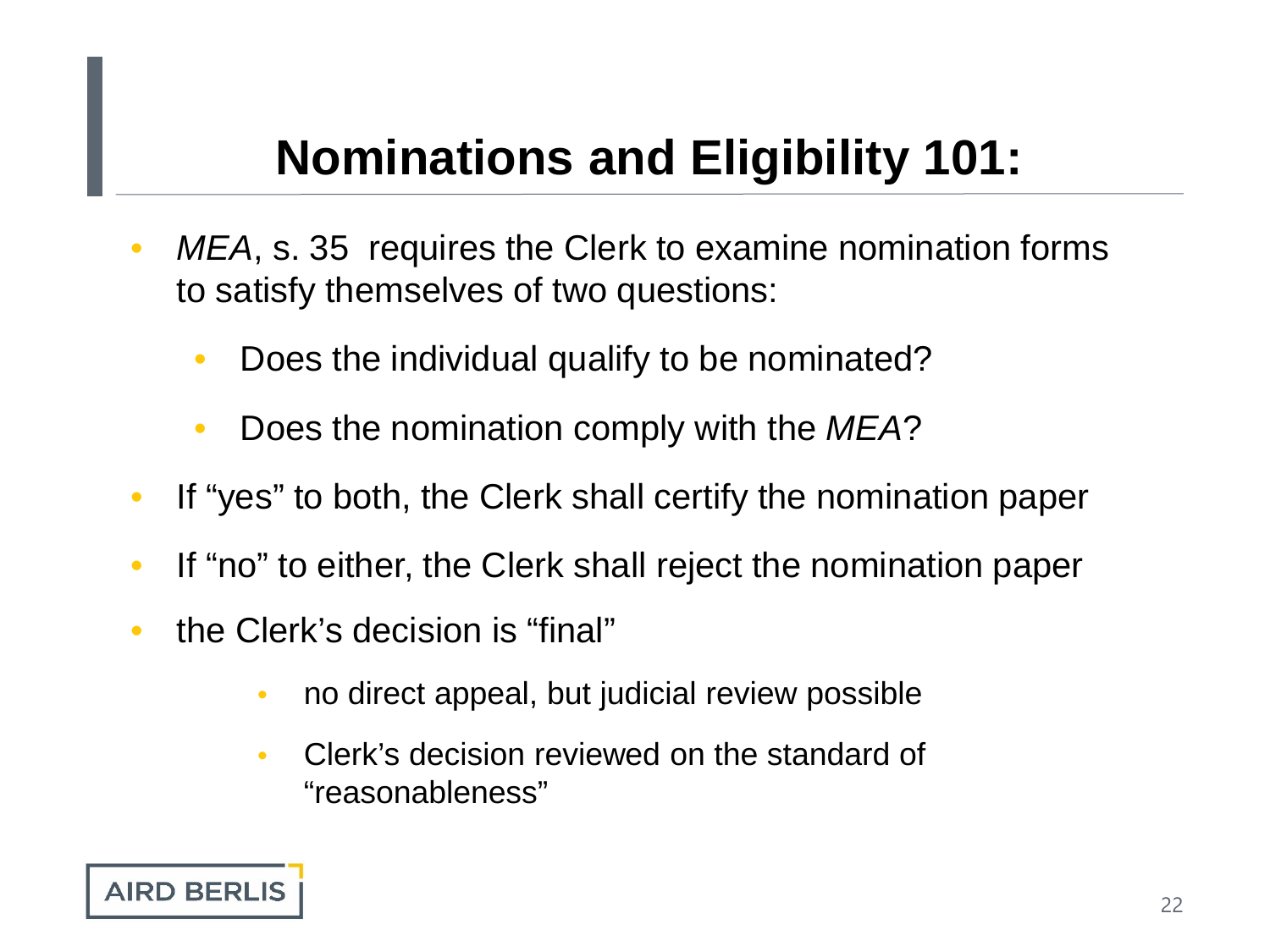- *MEA*, s. 35 requires the Clerk to examine nomination forms to satisfy themselves of two questions:
	- Does the individual qualify to be nominated?
	- Does the nomination comply with the *MEA*?
- If "yes" to both, the Clerk shall certify the nomination paper
- If "no" to either, the Clerk shall reject the nomination paper
- the Clerk's decision is "final"
	- no direct appeal, but judicial review possible
	- Clerk's decision reviewed on the standard of "reasonableness"

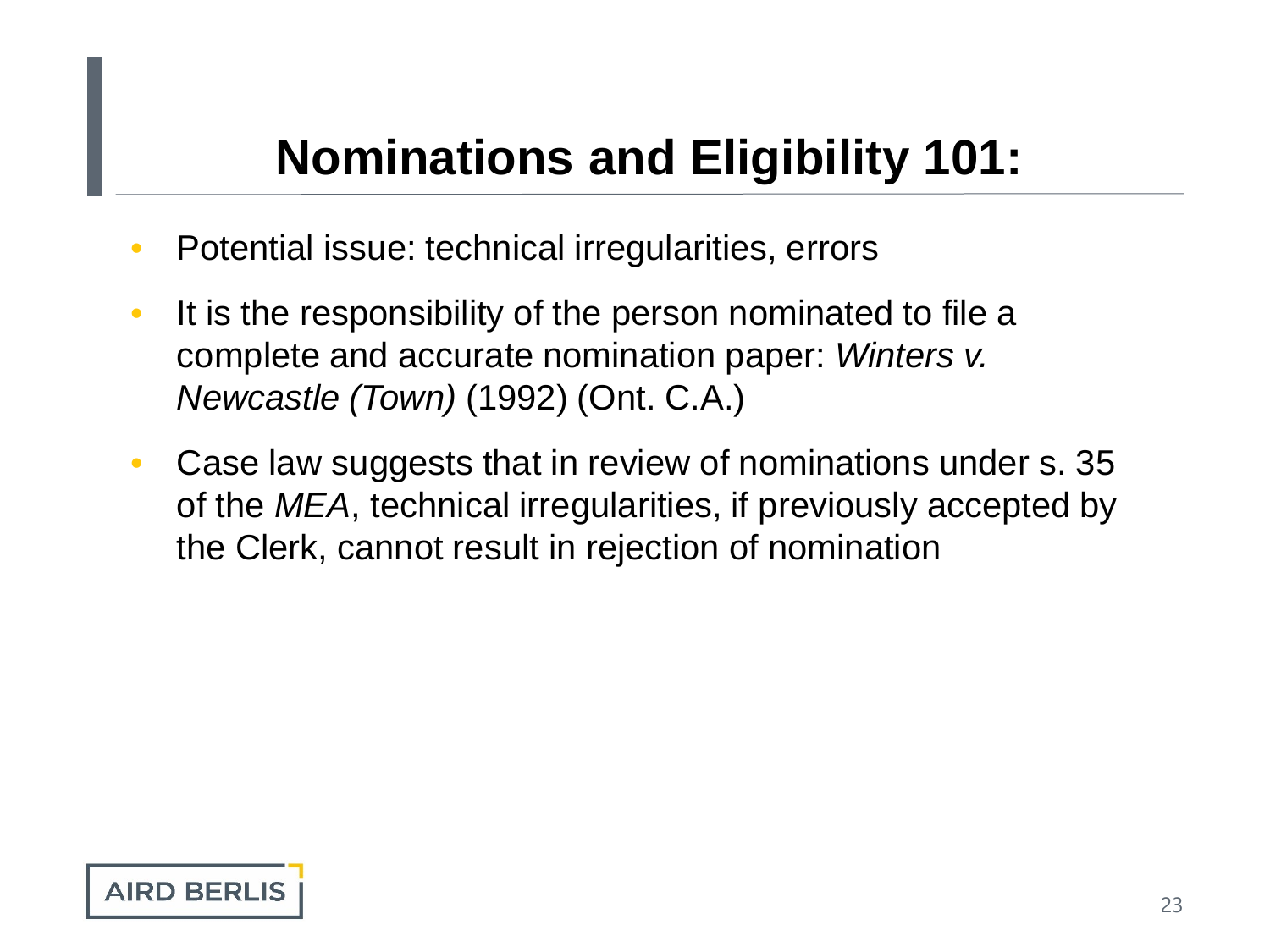- Potential issue: technical irregularities, errors
- It is the responsibility of the person nominated to file a complete and accurate nomination paper: *Winters v. Newcastle (Town)* (1992) (Ont. C.A.)
- Case law suggests that in review of nominations under s. 35 of the *MEA*, technical irregularities, if previously accepted by the Clerk, cannot result in rejection of nomination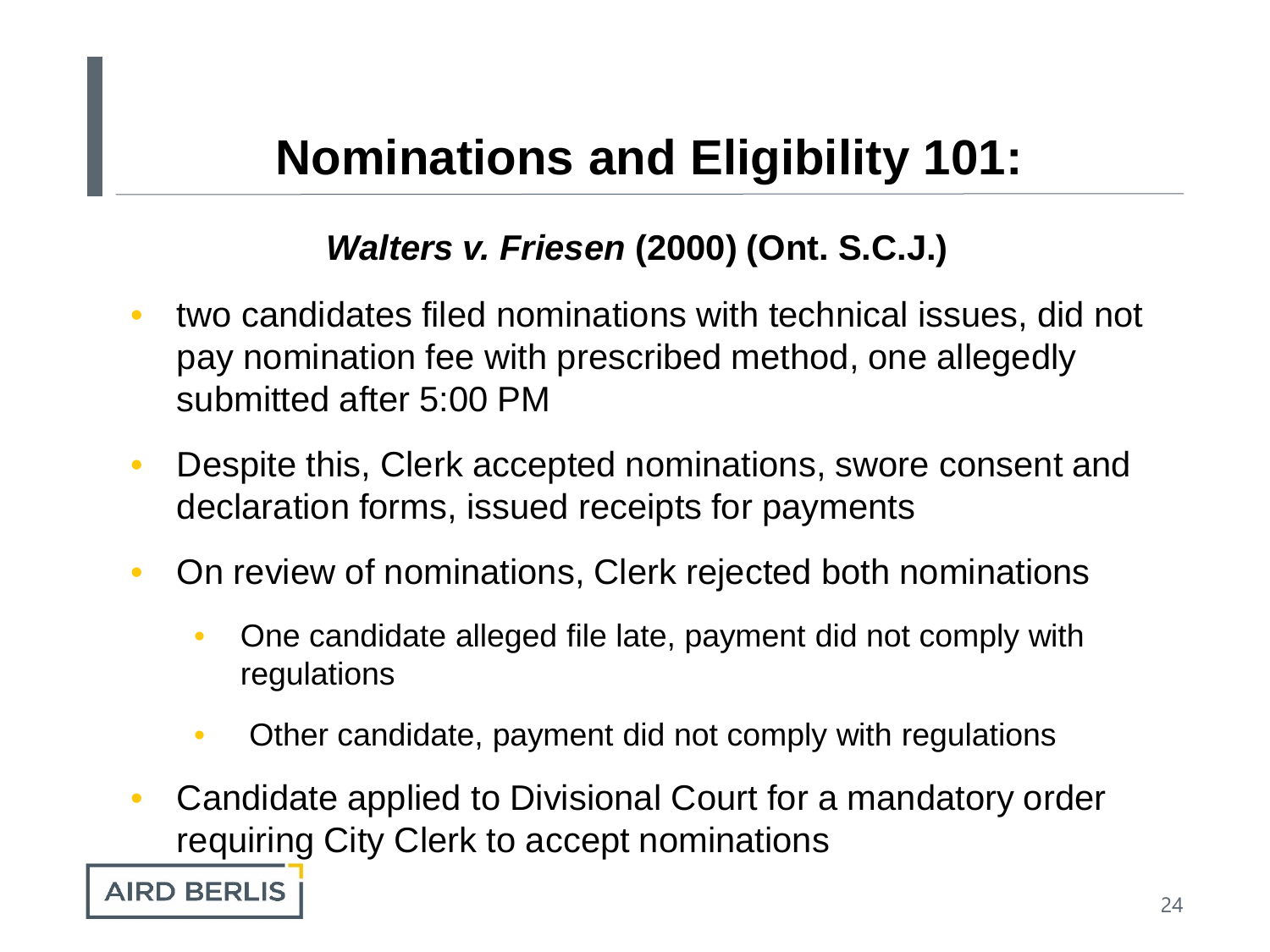#### *Walters v. Friesen* **(2000) (Ont. S.C.J.)**

- two candidates filed nominations with technical issues, did not pay nomination fee with prescribed method, one allegedly submitted after 5:00 PM
- Despite this, Clerk accepted nominations, swore consent and declaration forms, issued receipts for payments
- On review of nominations, Clerk rejected both nominations
	- One candidate alleged file late, payment did not comply with regulations
	- Other candidate, payment did not comply with regulations
- Candidate applied to Divisional Court for a mandatory order requiring City Clerk to accept nominations

**AIRD BERLIS**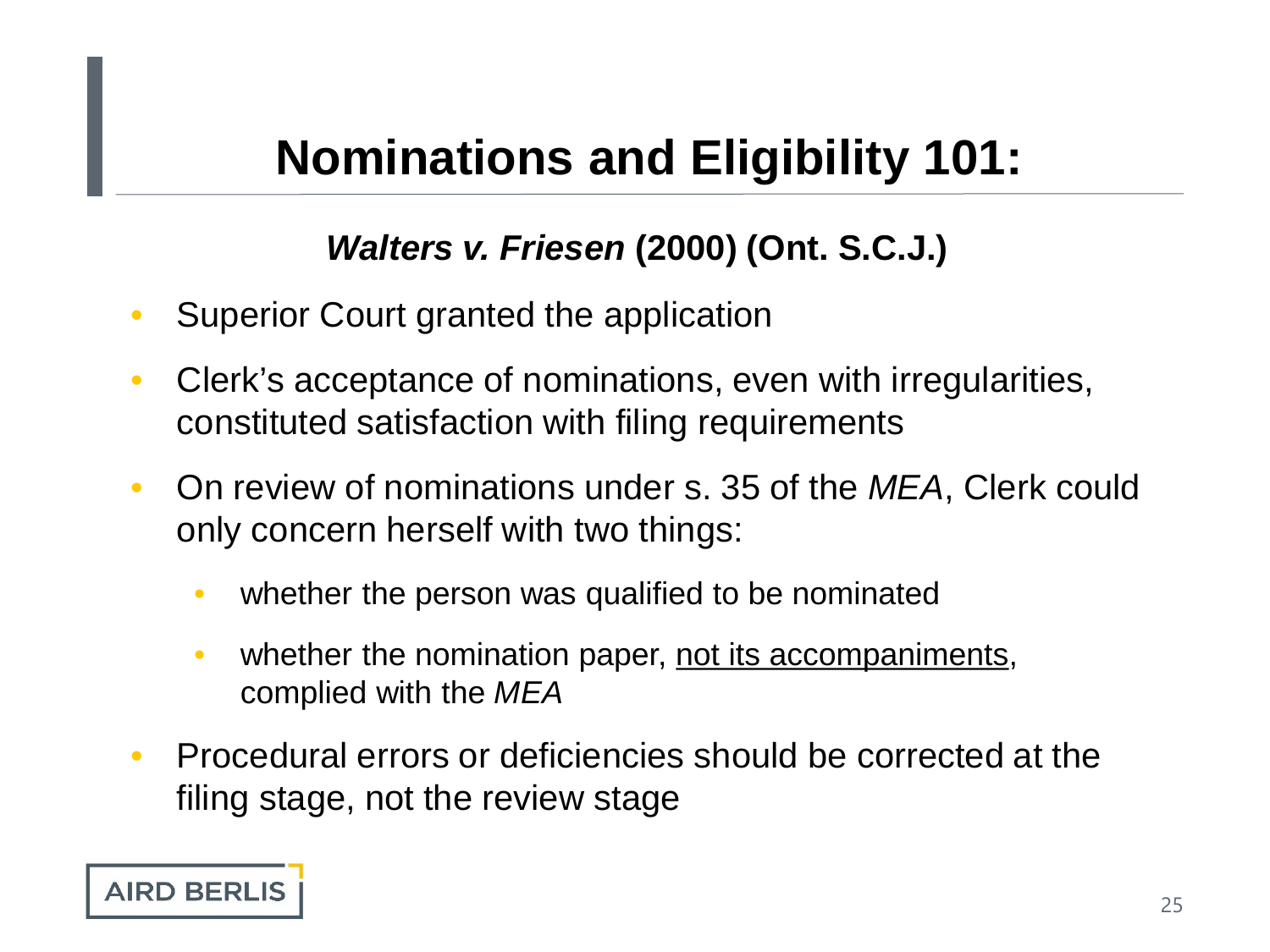#### *Walters v. Friesen* **(2000) (Ont. S.C.J.)**

- Superior Court granted the application
- Clerk's acceptance of nominations, even with irregularities, constituted satisfaction with filing requirements
- On review of nominations under s. 35 of the *MEA*, Clerk could only concern herself with two things:
	- whether the person was qualified to be nominated
	- whether the nomination paper, not its accompaniments, complied with the *MEA*
- Procedural errors or deficiencies should be corrected at the filing stage, not the review stage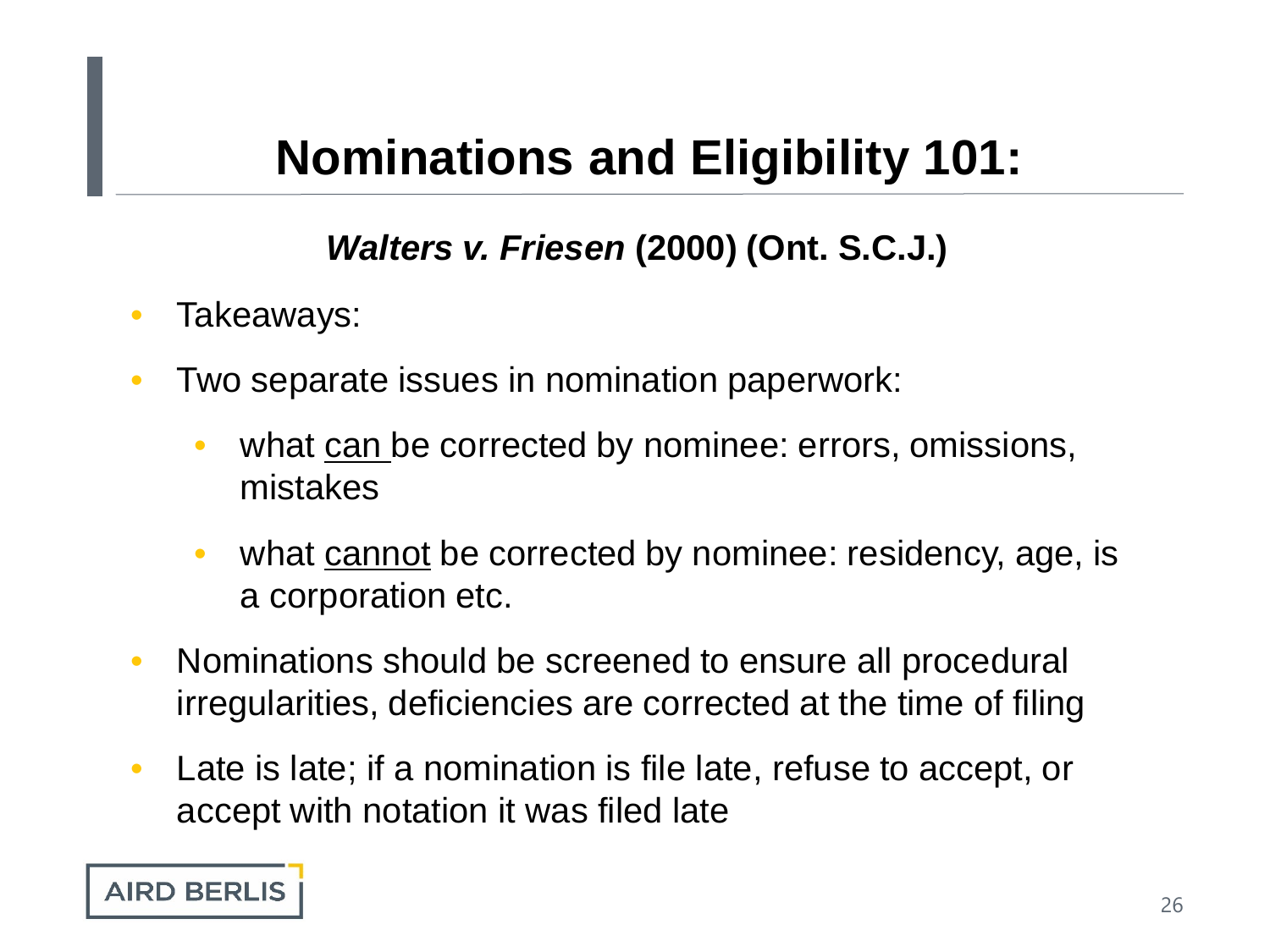#### *Walters v. Friesen* **(2000) (Ont. S.C.J.)**

- Takeaways:
- Two separate issues in nomination paperwork:
	- what can be corrected by nominee: errors, omissions, mistakes
	- what cannot be corrected by nominee: residency, age, is a corporation etc.
- Nominations should be screened to ensure all procedural irregularities, deficiencies are corrected at the time of filing
- Late is late; if a nomination is file late, refuse to accept, or accept with notation it was filed late

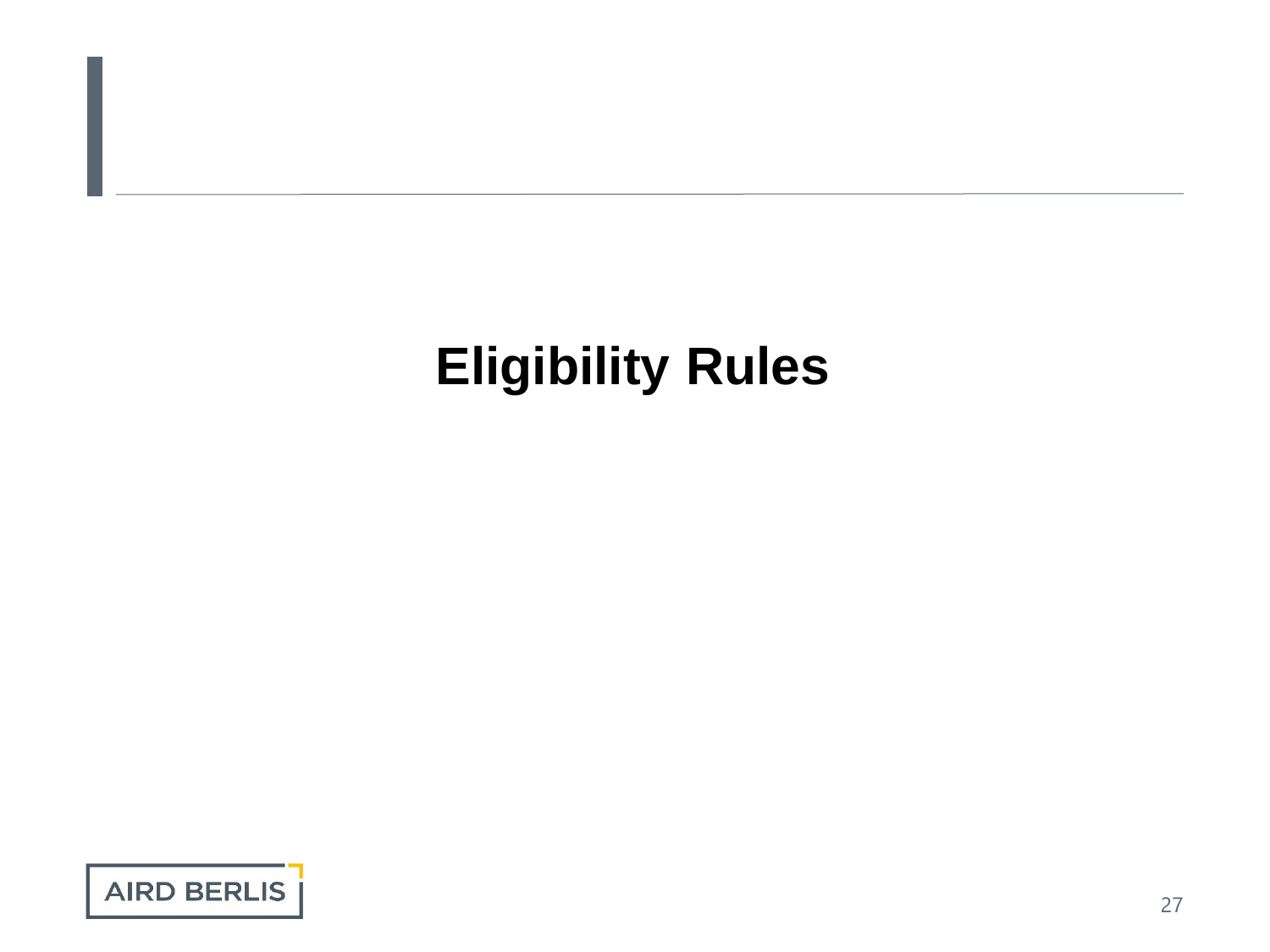# **Eligibility Rules**

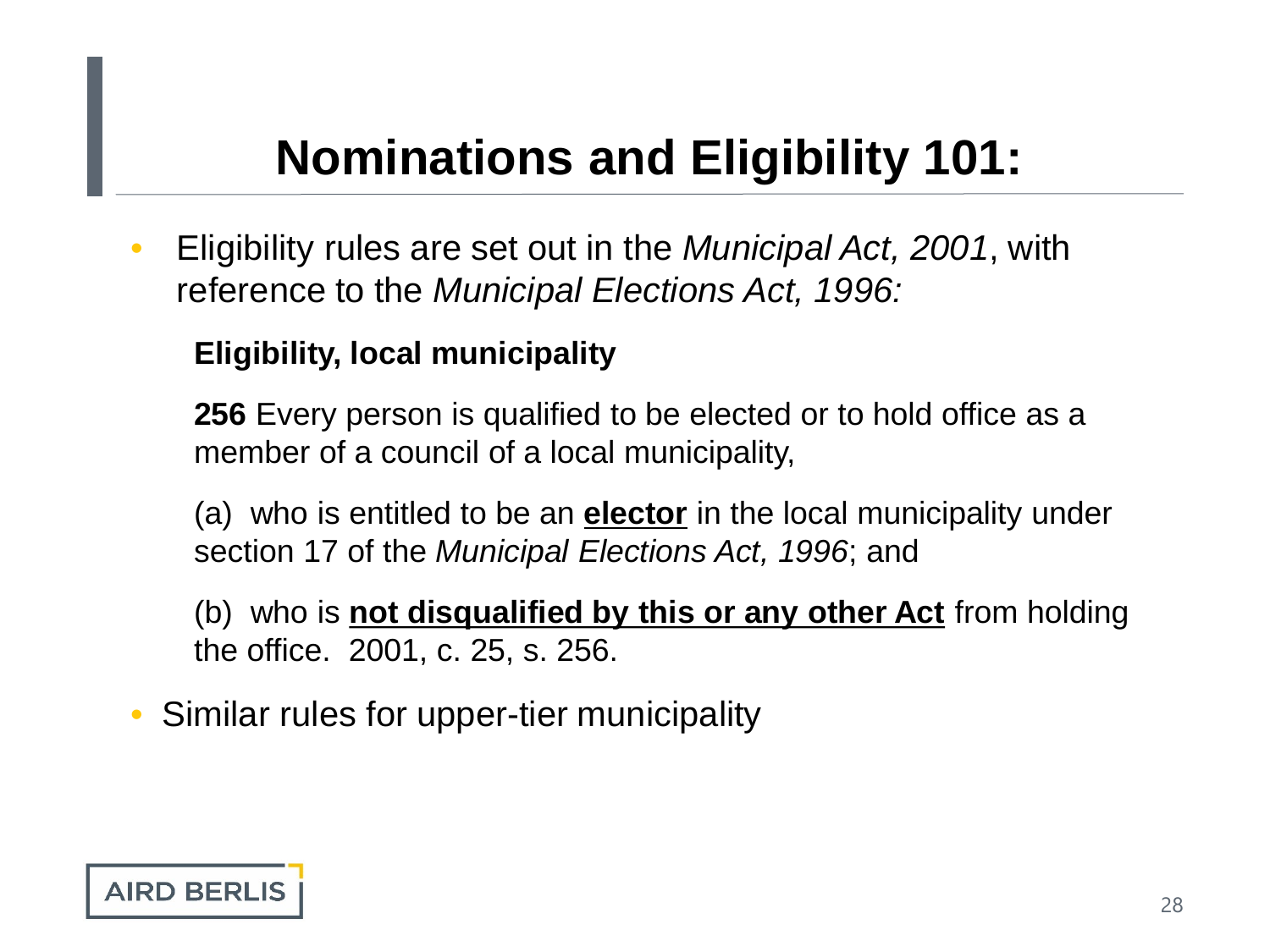• Eligibility rules are set out in the *Municipal Act, 2001*, with reference to the *Municipal Elections Act, 1996:*

#### **Eligibility, local municipality**

**256** Every person is qualified to be elected or to hold office as a member of a council of a local municipality,

(a) who is entitled to be an **elector** in the local municipality under section 17 of the *Municipal Elections Act, 1996*; and

(b) who is **not disqualified by this or any other Act** from holding the office. 2001, c. 25, s. 256.

• Similar rules for upper-tier municipality

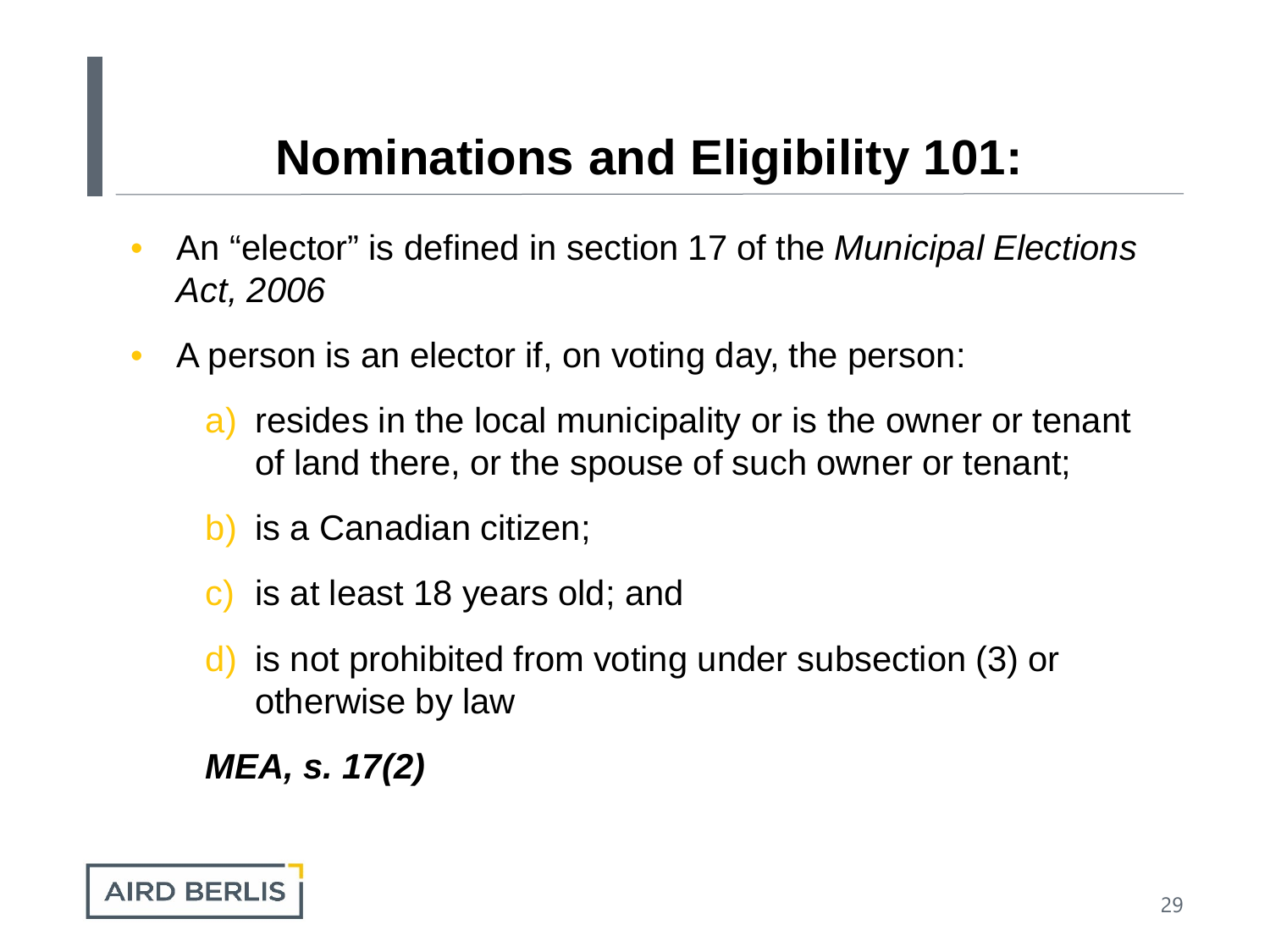- An "elector" is defined in section 17 of the *Municipal Elections Act, 2006*
- A person is an elector if, on voting day, the person:
	- a) resides in the local municipality or is the owner or tenant of land there, or the spouse of such owner or tenant;
	- b) is a Canadian citizen;
	- c) is at least 18 years old; and
	- is not prohibited from voting under subsection (3) or otherwise by law

*MEA, s. 17(2)*

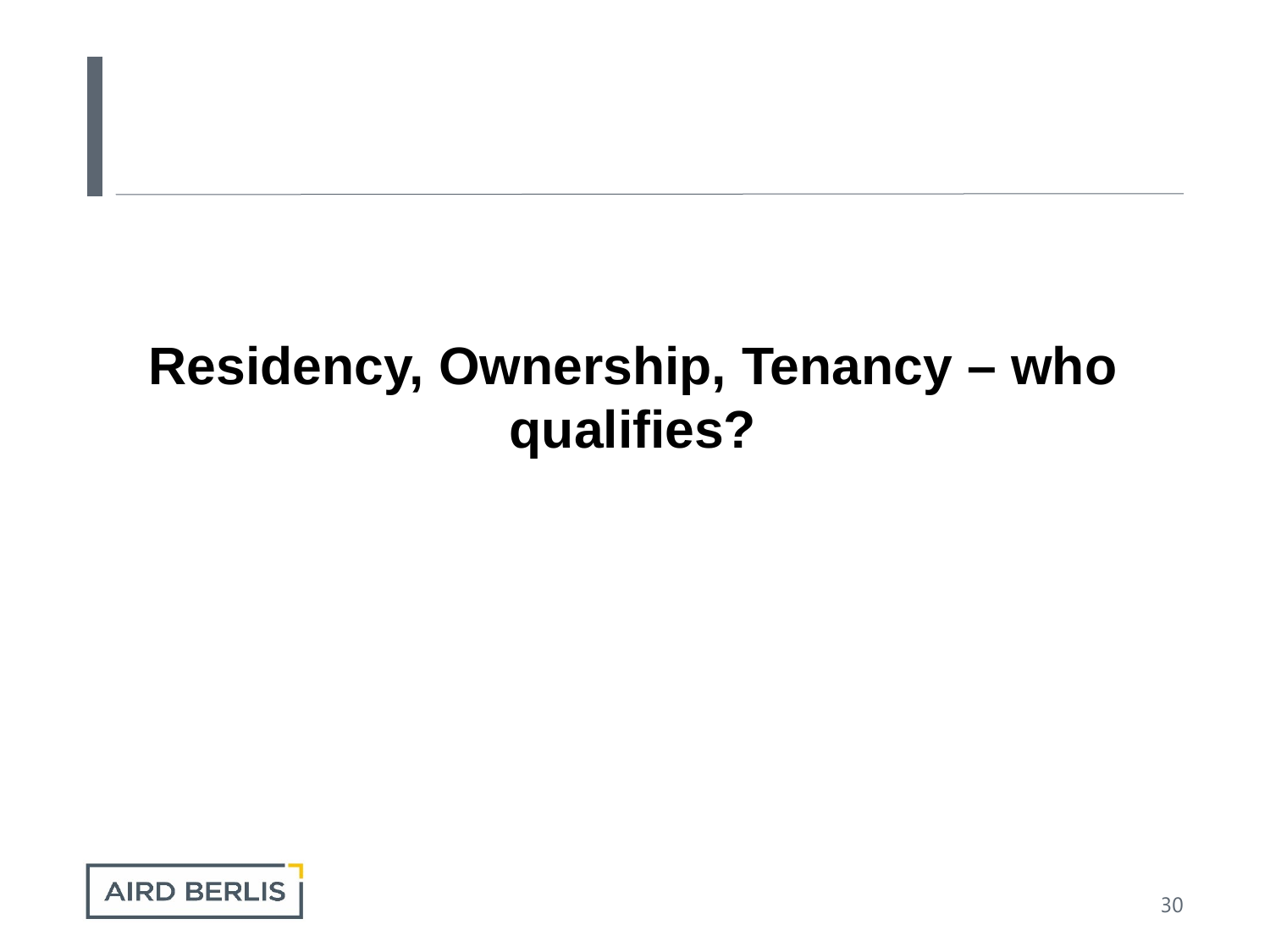# **Residency, Ownership, Tenancy – who qualifies?**

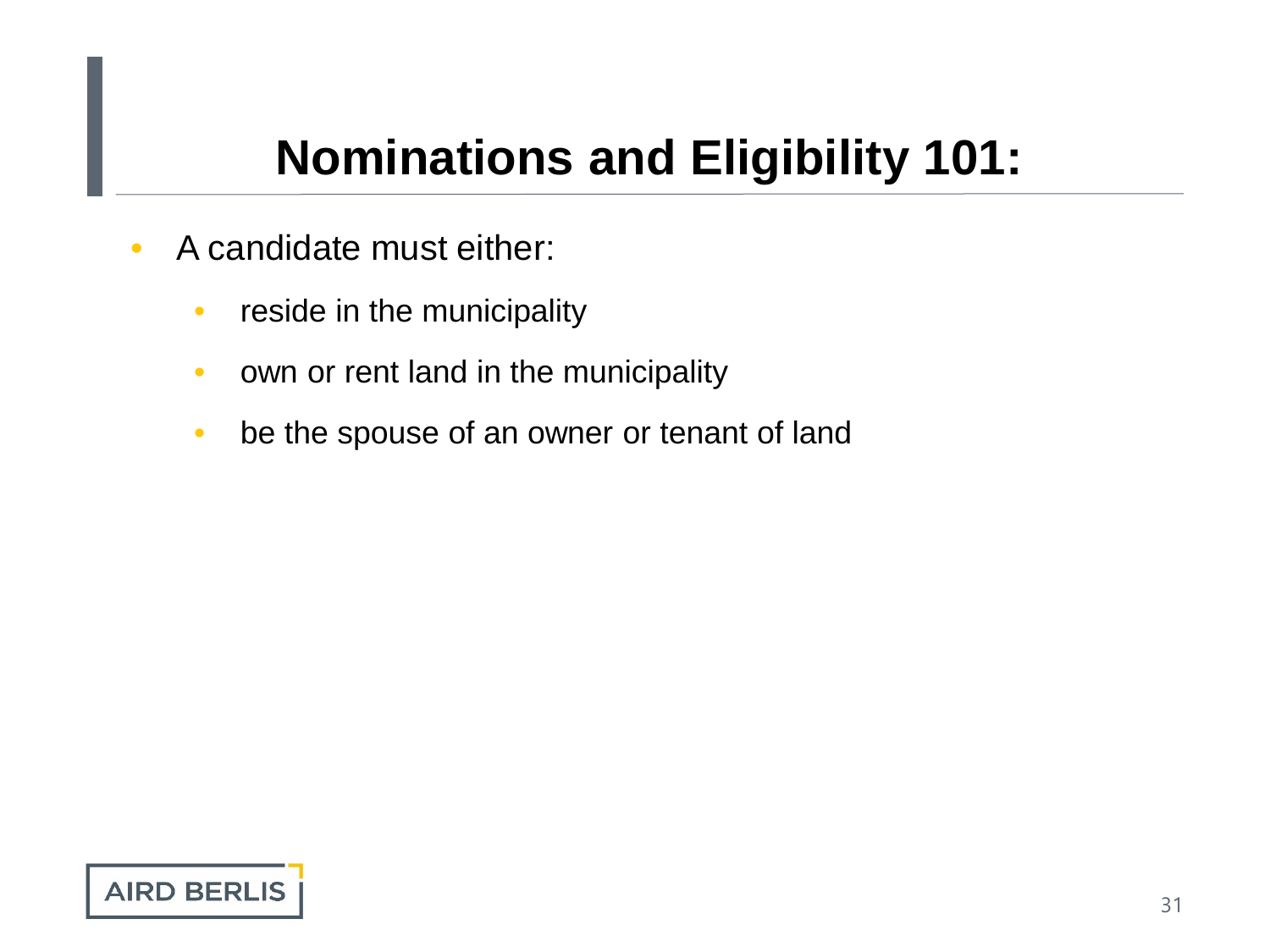- A candidate must either:
	- reside in the municipality
	- own or rent land in the municipality
	- be the spouse of an owner or tenant of land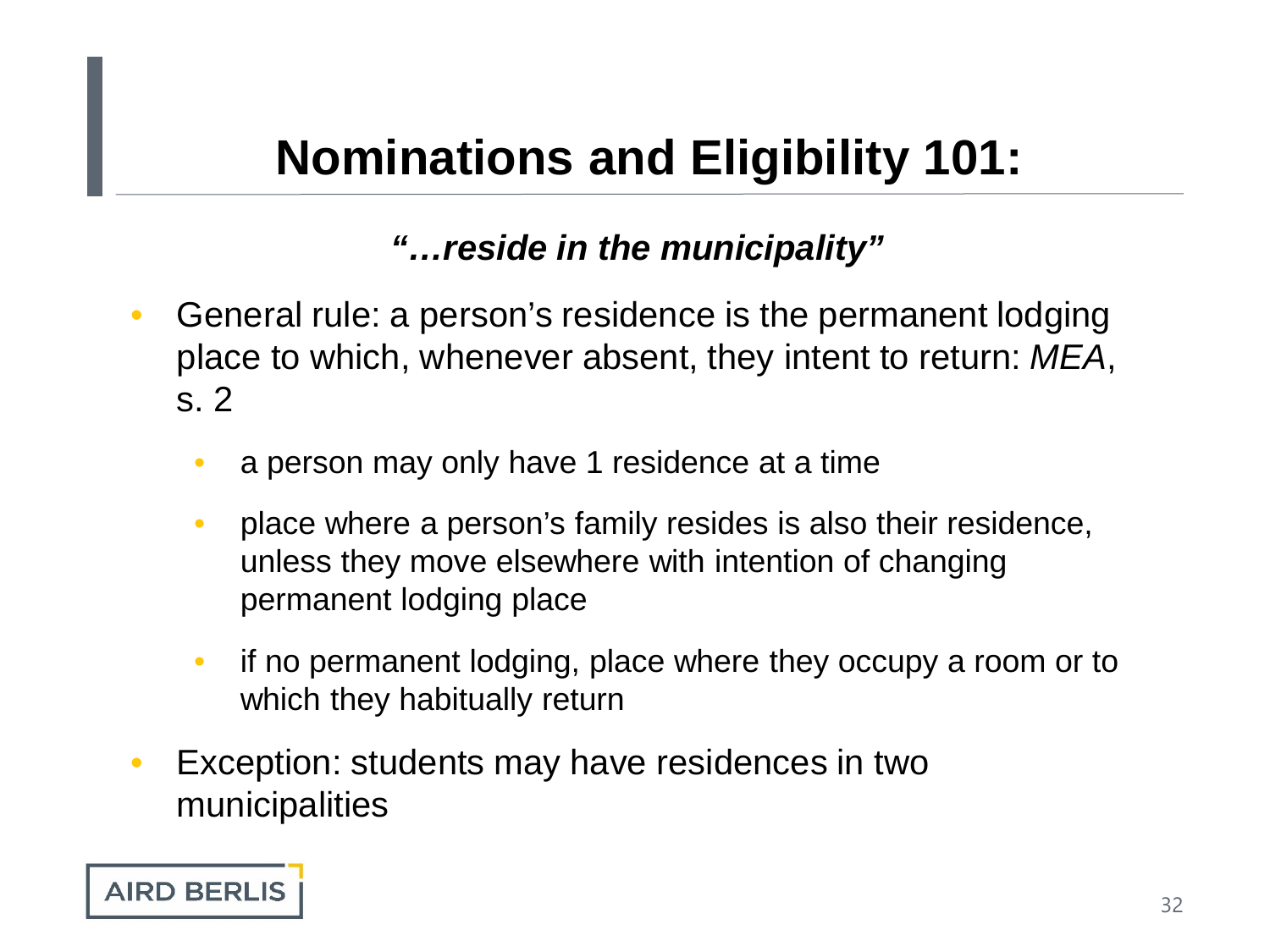#### *"…reside in the municipality"*

- General rule: a person's residence is the permanent lodging place to which, whenever absent, they intent to return: *MEA*, s. 2
	- a person may only have 1 residence at a time
	- place where a person's family resides is also their residence, unless they move elsewhere with intention of changing permanent lodging place
	- if no permanent lodging, place where they occupy a room or to which they habitually return
- Exception: students may have residences in two municipalities

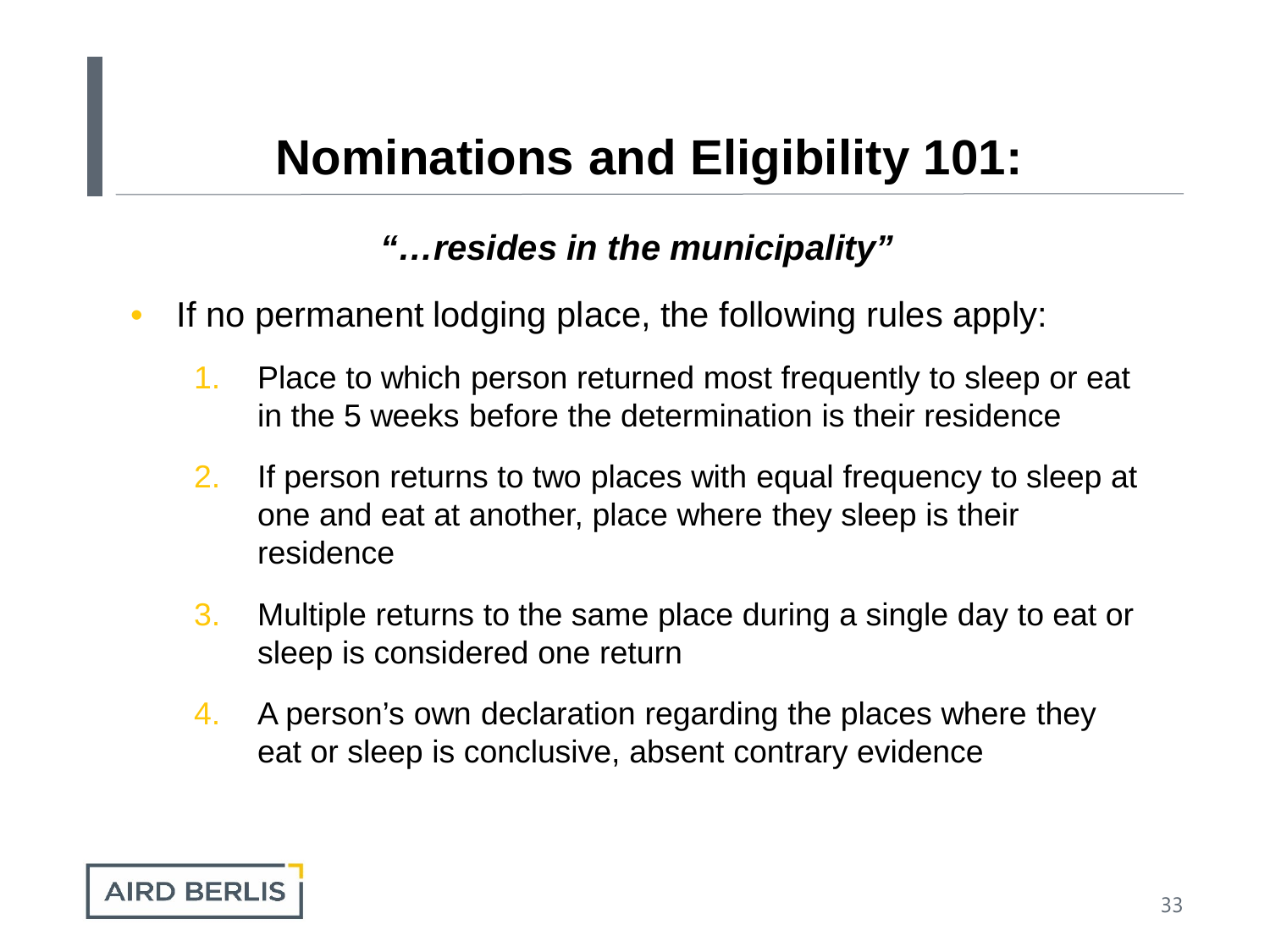#### *"…resides in the municipality"*

- If no permanent lodging place, the following rules apply:
	- 1. Place to which person returned most frequently to sleep or eat in the 5 weeks before the determination is their residence
	- 2. If person returns to two places with equal frequency to sleep at one and eat at another, place where they sleep is their residence
	- 3. Multiple returns to the same place during a single day to eat or sleep is considered one return
	- 4. A person's own declaration regarding the places where they eat or sleep is conclusive, absent contrary evidence

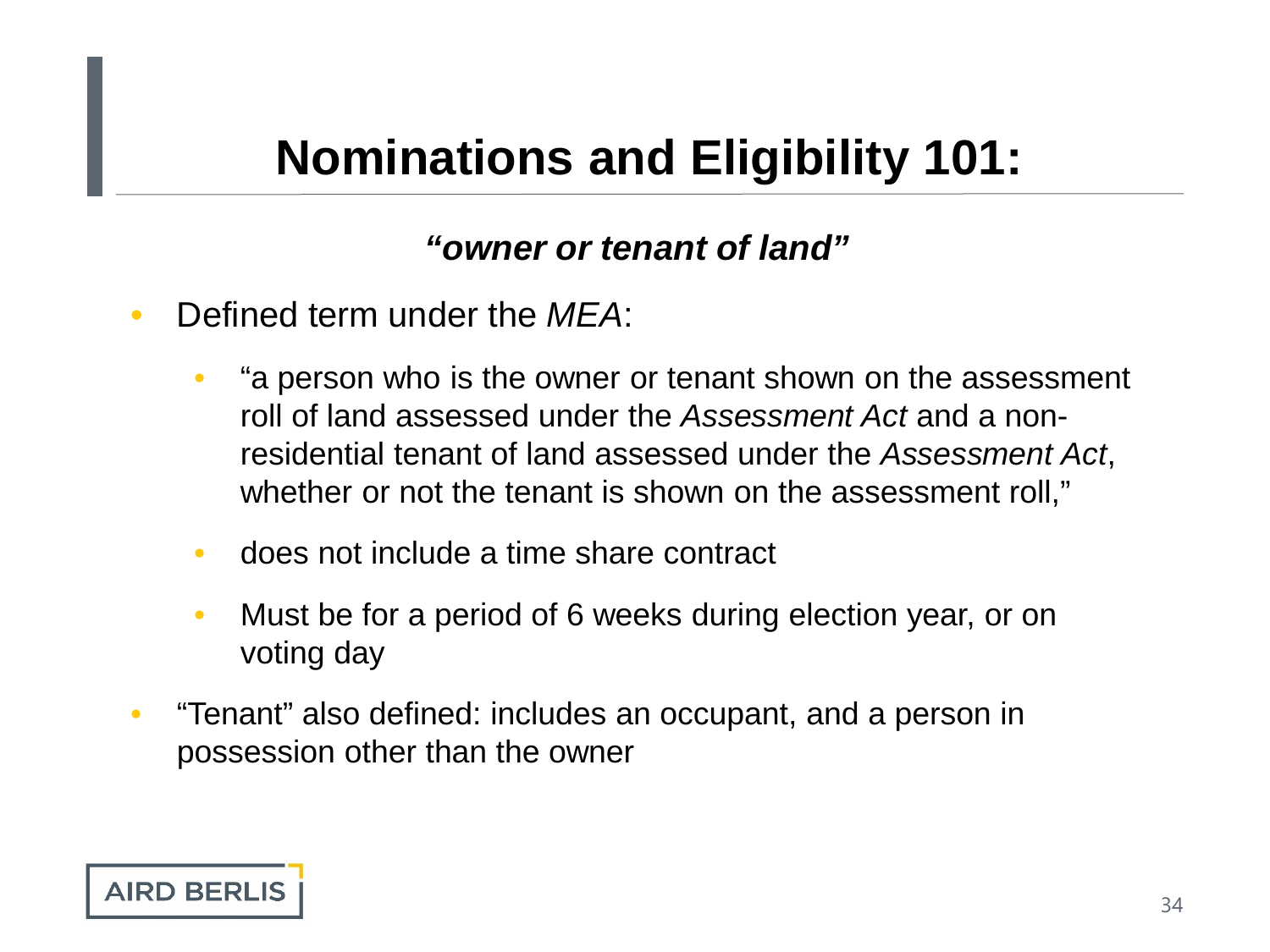#### *"owner or tenant of land"*

- Defined term under the *MEA*:
	- "a person who is the owner or tenant shown on the assessment roll of land assessed under the *Assessment Act* and a nonresidential tenant of land assessed under the *Assessment Act*, whether or not the tenant is shown on the assessment roll,"
	- does not include a time share contract
	- Must be for a period of 6 weeks during election year, or on voting day
- "Tenant" also defined: includes an occupant, and a person in possession other than the owner

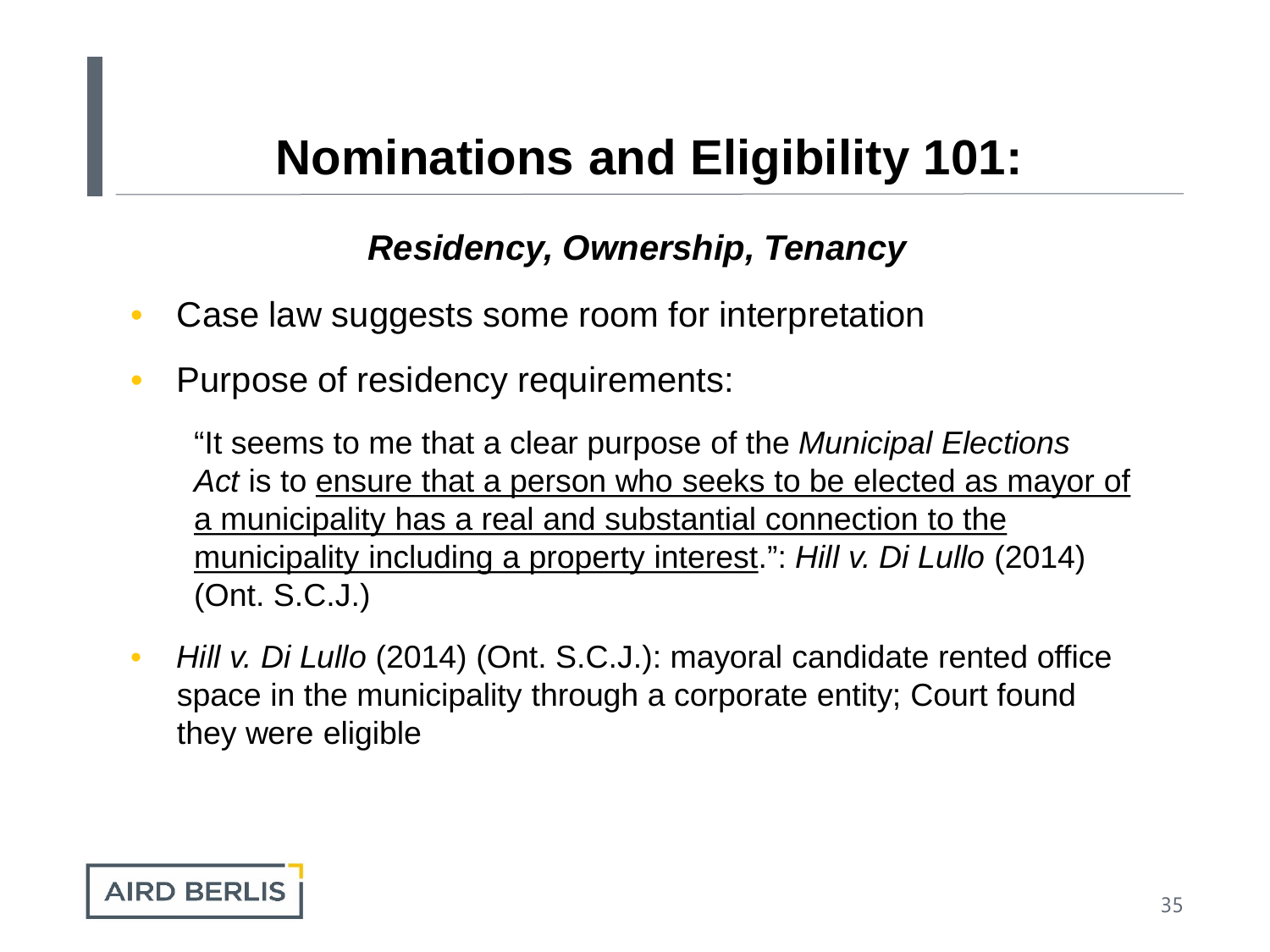#### *Residency, Ownership, Tenancy*

- Case law suggests some room for interpretation
- Purpose of residency requirements:

"It seems to me that a clear purpose of the *Municipal Elections Act* is to ensure that a person who seeks to be elected as mayor of a municipality has a real and substantial connection to the municipality including a property interest.": *Hill v. Di Lullo* (2014) (Ont. S.C.J.)

• *Hill v. Di Lullo* (2014) (Ont. S.C.J.): mayoral candidate rented office space in the municipality through a corporate entity; Court found they were eligible

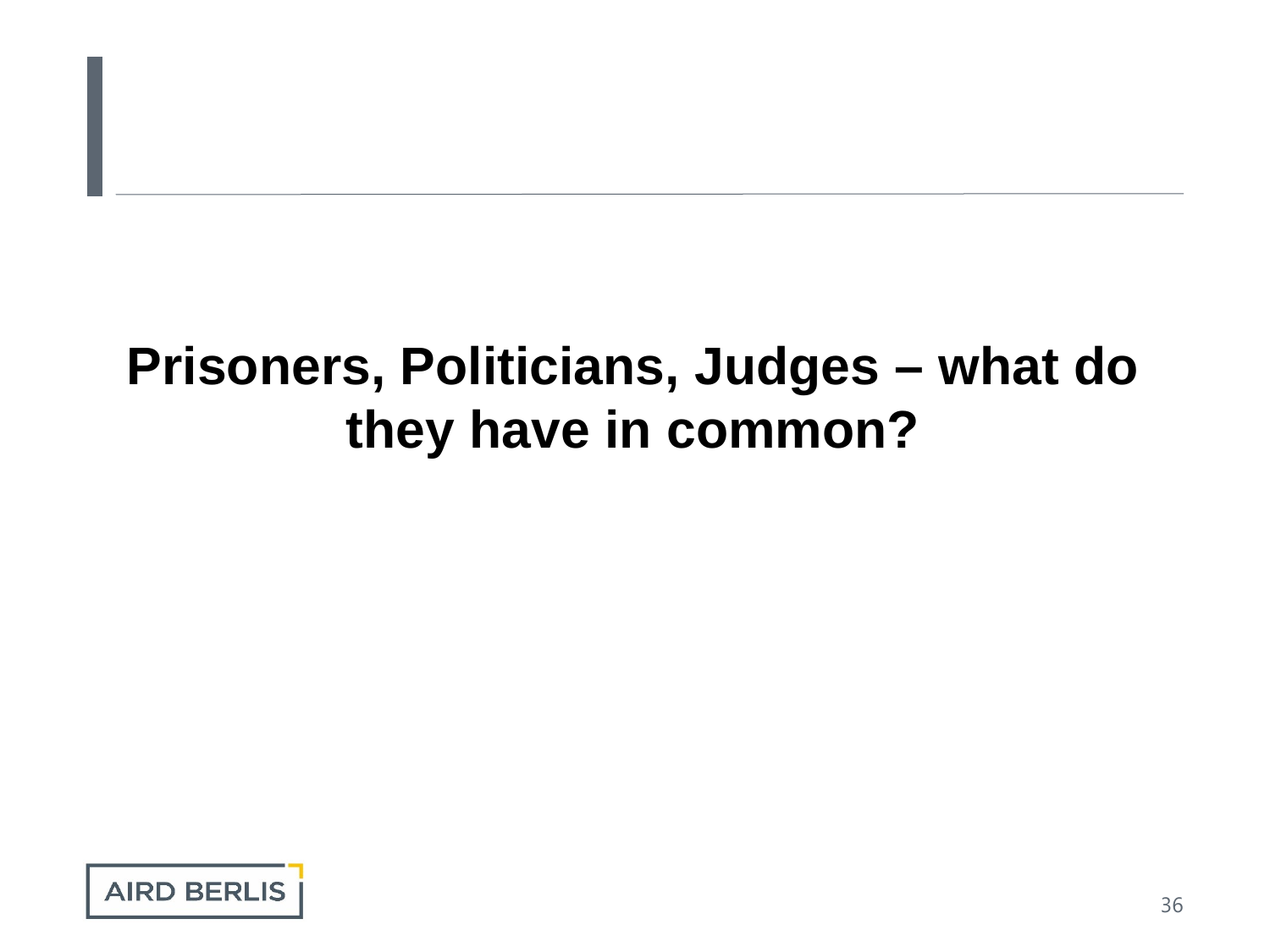# **Prisoners, Politicians, Judges – what do they have in common?**

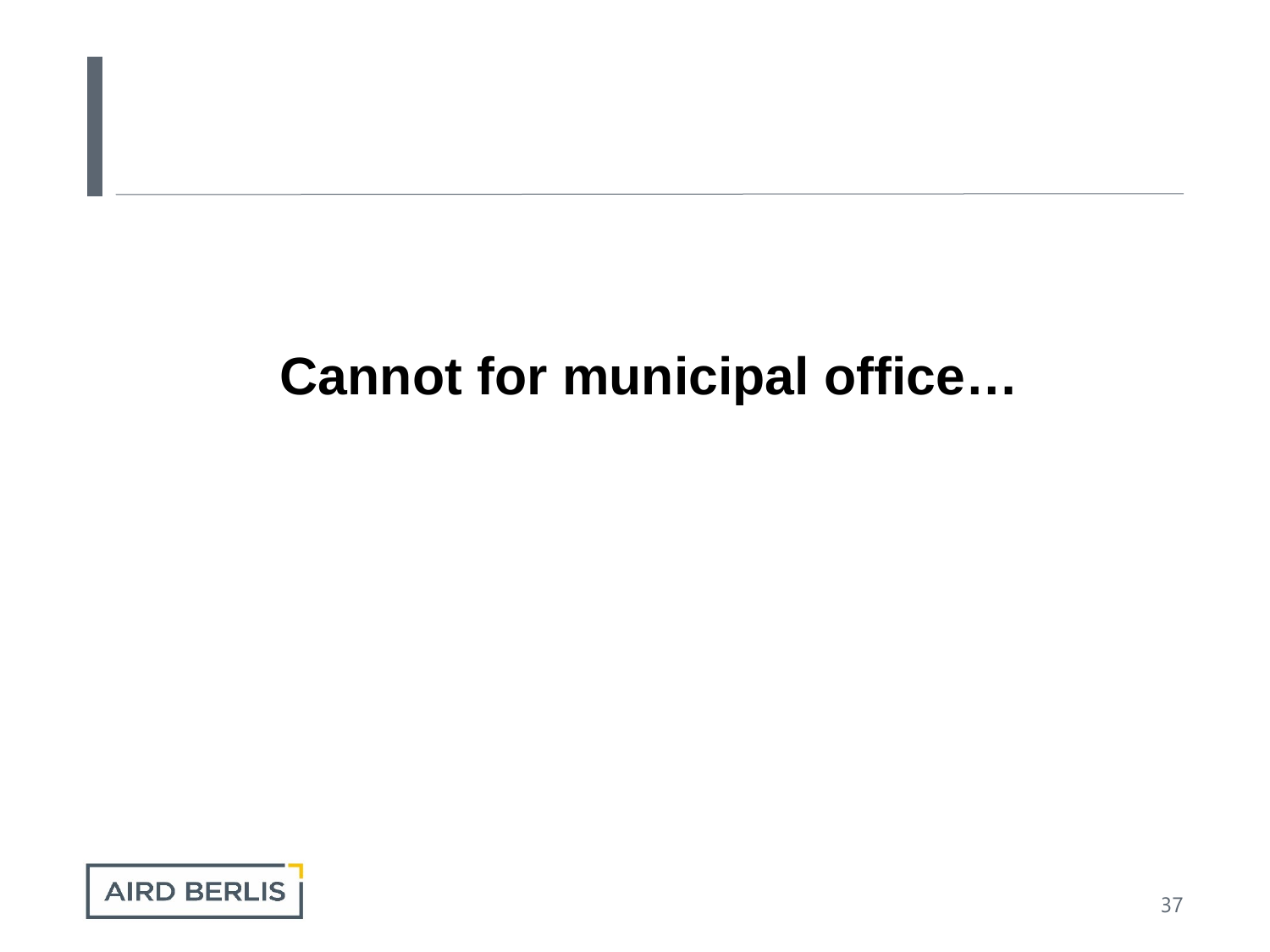# **Cannot for municipal office…**

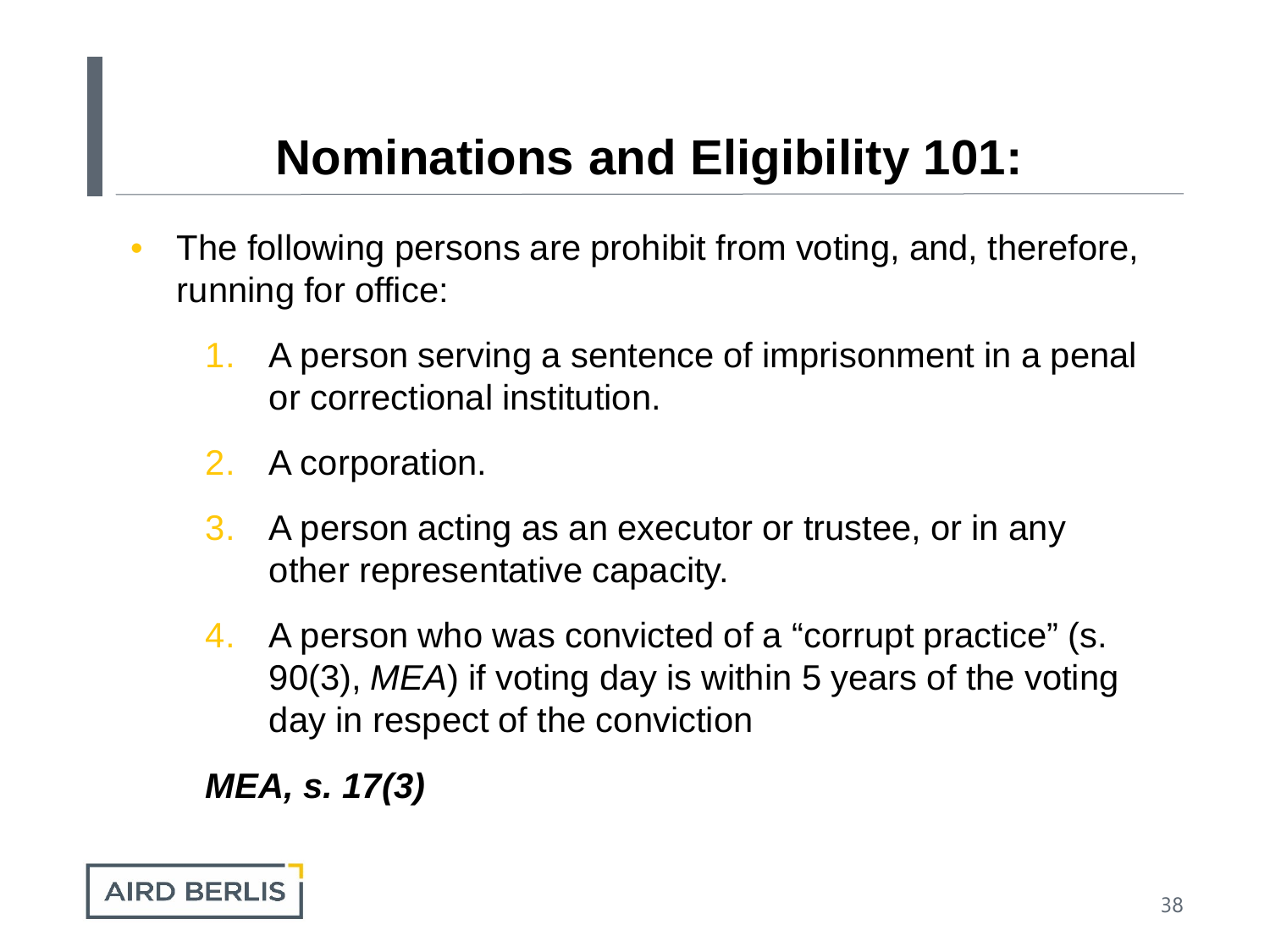- The following persons are prohibit from voting, and, therefore, running for office:
	- 1. A person serving a sentence of imprisonment in a penal or correctional institution.
	- 2. A corporation.
	- 3. A person acting as an executor or trustee, or in any other representative capacity.
	- 4. A person who was convicted of a "corrupt practice" (s. 90(3), *MEA*) if voting day is within 5 years of the voting day in respect of the conviction

*MEA, s. 17(3)*

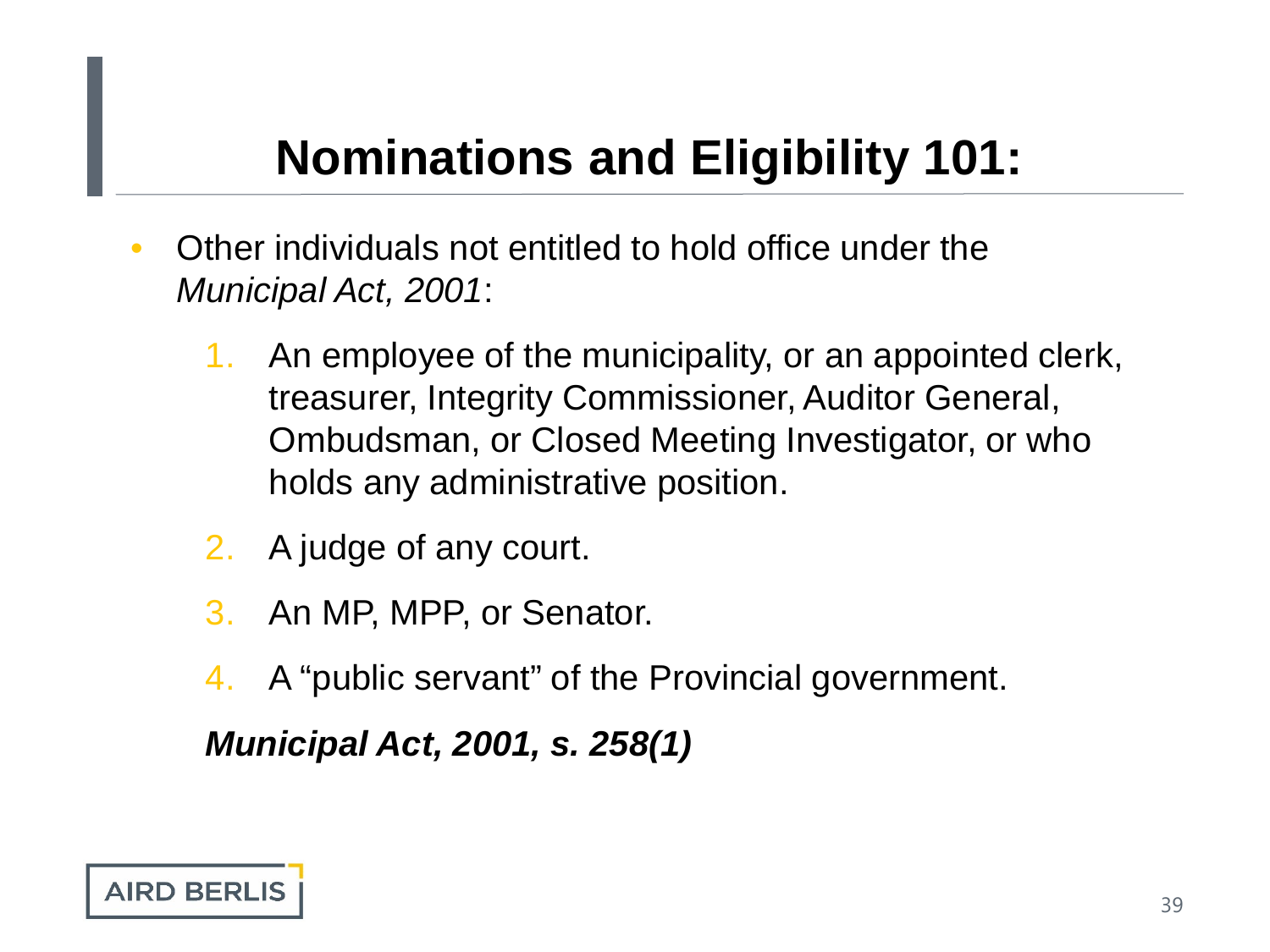- Other individuals not entitled to hold office under the *Municipal Act, 2001*:
	- 1. An employee of the municipality, or an appointed clerk, treasurer, Integrity Commissioner, Auditor General, Ombudsman, or Closed Meeting Investigator, or who holds any administrative position.
	- 2. A judge of any court.
	- 3. An MP, MPP, or Senator.
	- 4. A "public servant" of the Provincial government.

*Municipal Act, 2001, s. 258(1)*

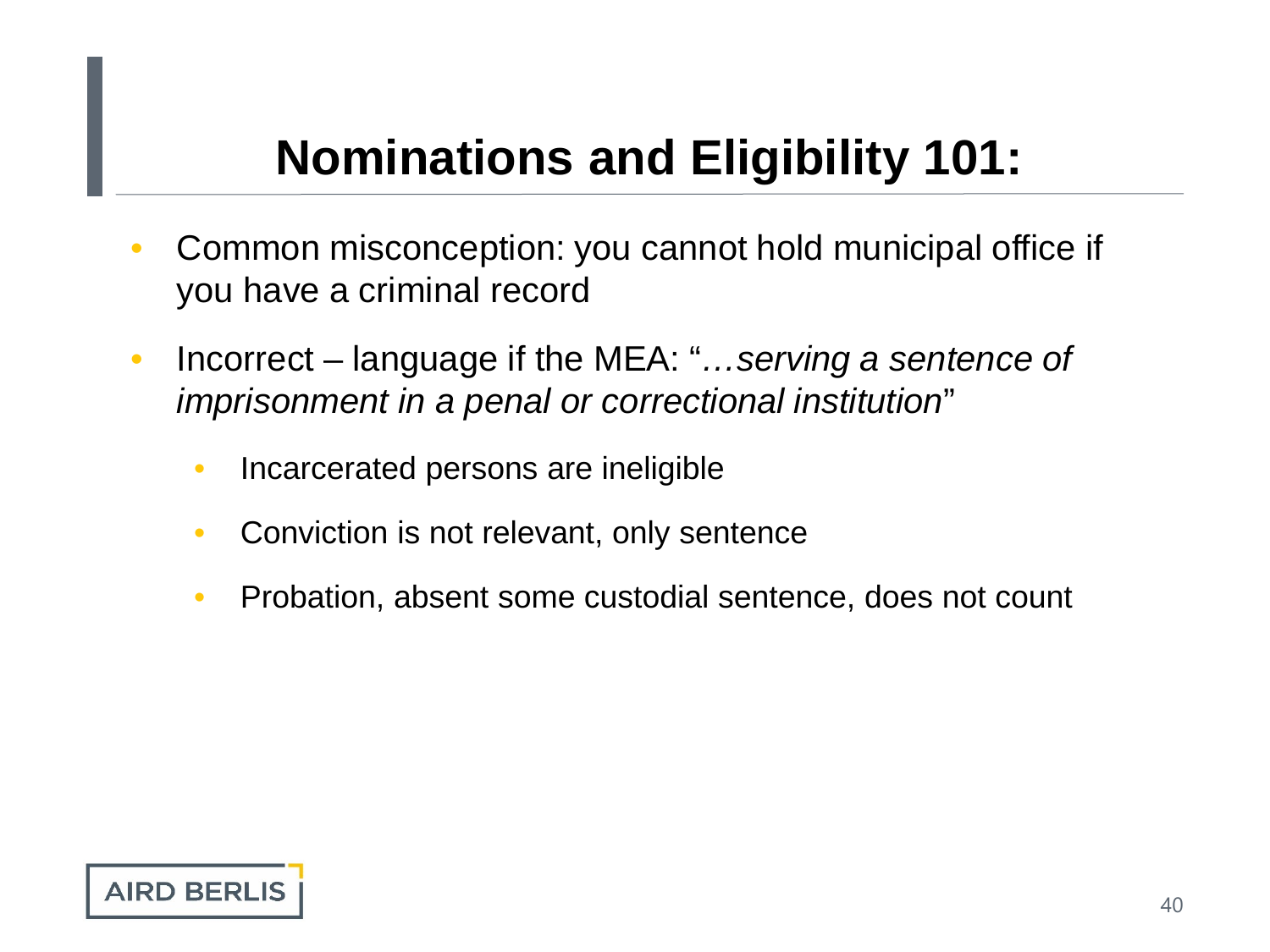- Common misconception: you cannot hold municipal office if you have a criminal record
- Incorrect language if the MEA: "*…serving a sentence of imprisonment in a penal or correctional institution*"
	- Incarcerated persons are ineligible
	- Conviction is not relevant, only sentence
	- Probation, absent some custodial sentence, does not count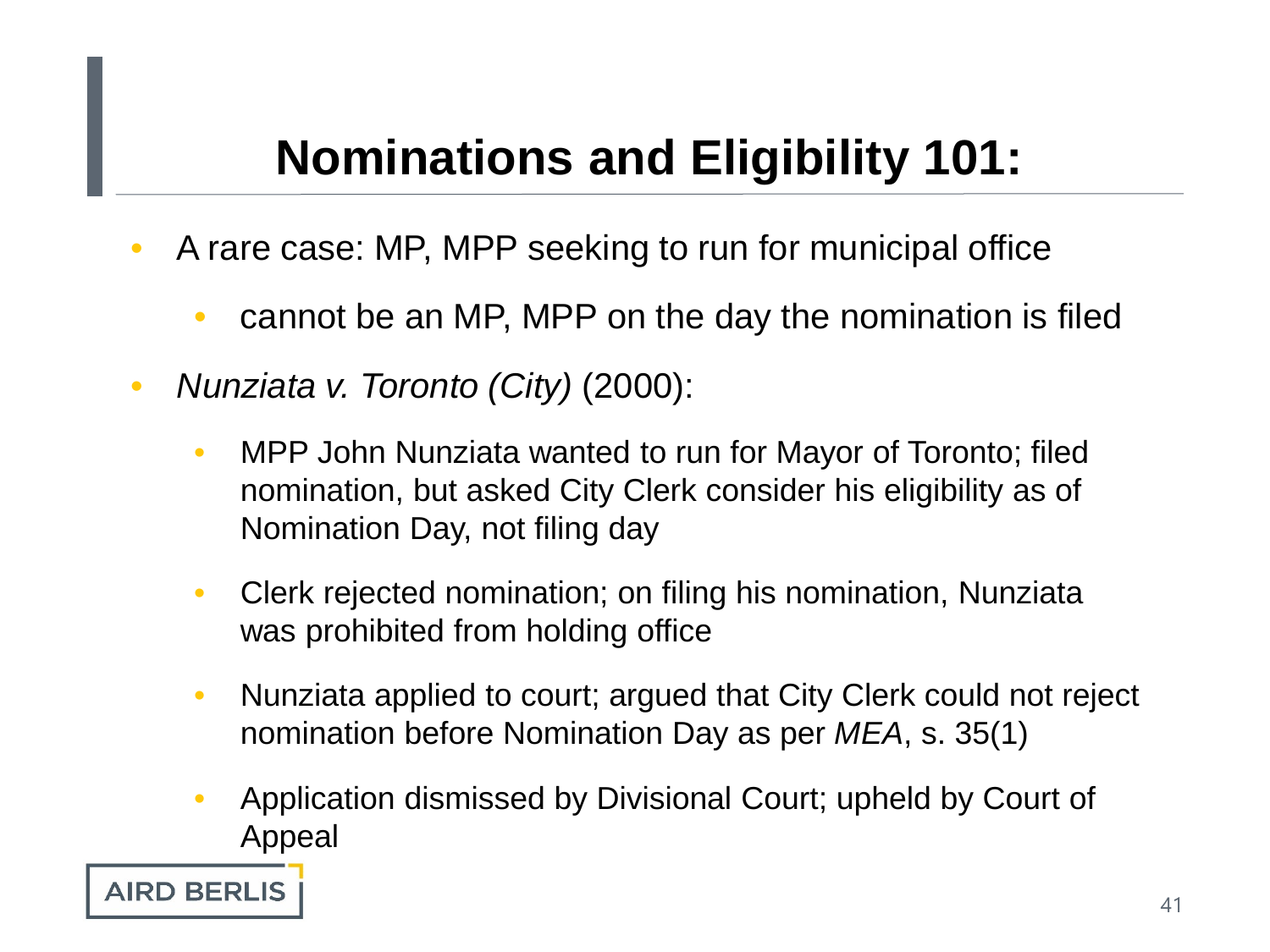- A rare case: MP, MPP seeking to run for municipal office
	- cannot be an MP, MPP on the day the nomination is filed
- *Nunziata v. Toronto (City)* (2000):
	- MPP John Nunziata wanted to run for Mayor of Toronto; filed nomination, but asked City Clerk consider his eligibility as of Nomination Day, not filing day
	- Clerk rejected nomination; on filing his nomination, Nunziata was prohibited from holding office
	- Nunziata applied to court; argued that City Clerk could not reject nomination before Nomination Day as per *MEA*, s. 35(1)
	- Application dismissed by Divisional Court; upheld by Court of Appeal

**AIRD BERLIS**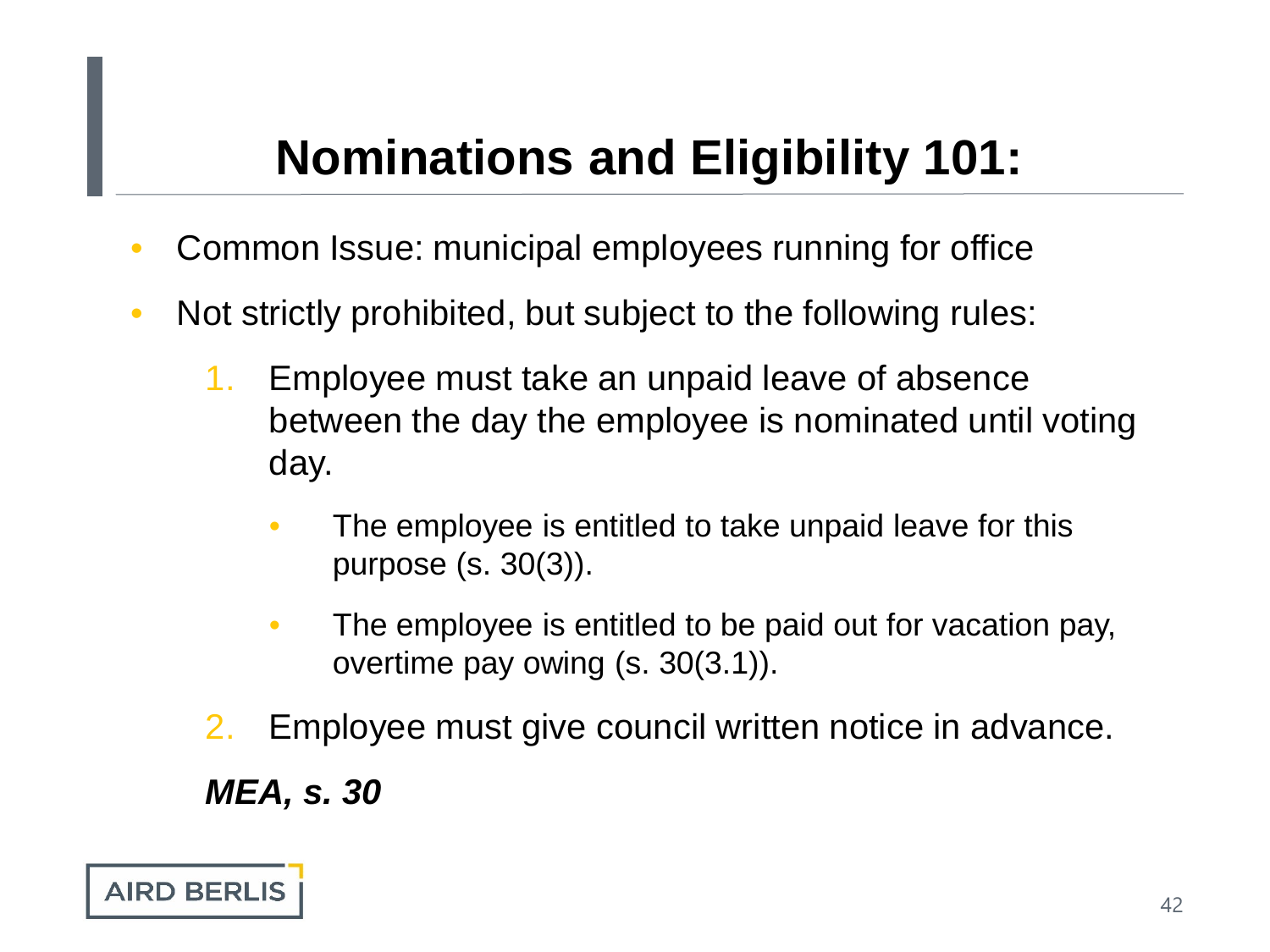- Common Issue: municipal employees running for office
- Not strictly prohibited, but subject to the following rules:
	- 1. Employee must take an unpaid leave of absence between the day the employee is nominated until voting day.
		- The employee is entitled to take unpaid leave for this purpose (s. 30(3)).
		- The employee is entitled to be paid out for vacation pay, overtime pay owing (s. 30(3.1)).
	- 2. Employee must give council written notice in advance.

*MEA, s. 30*

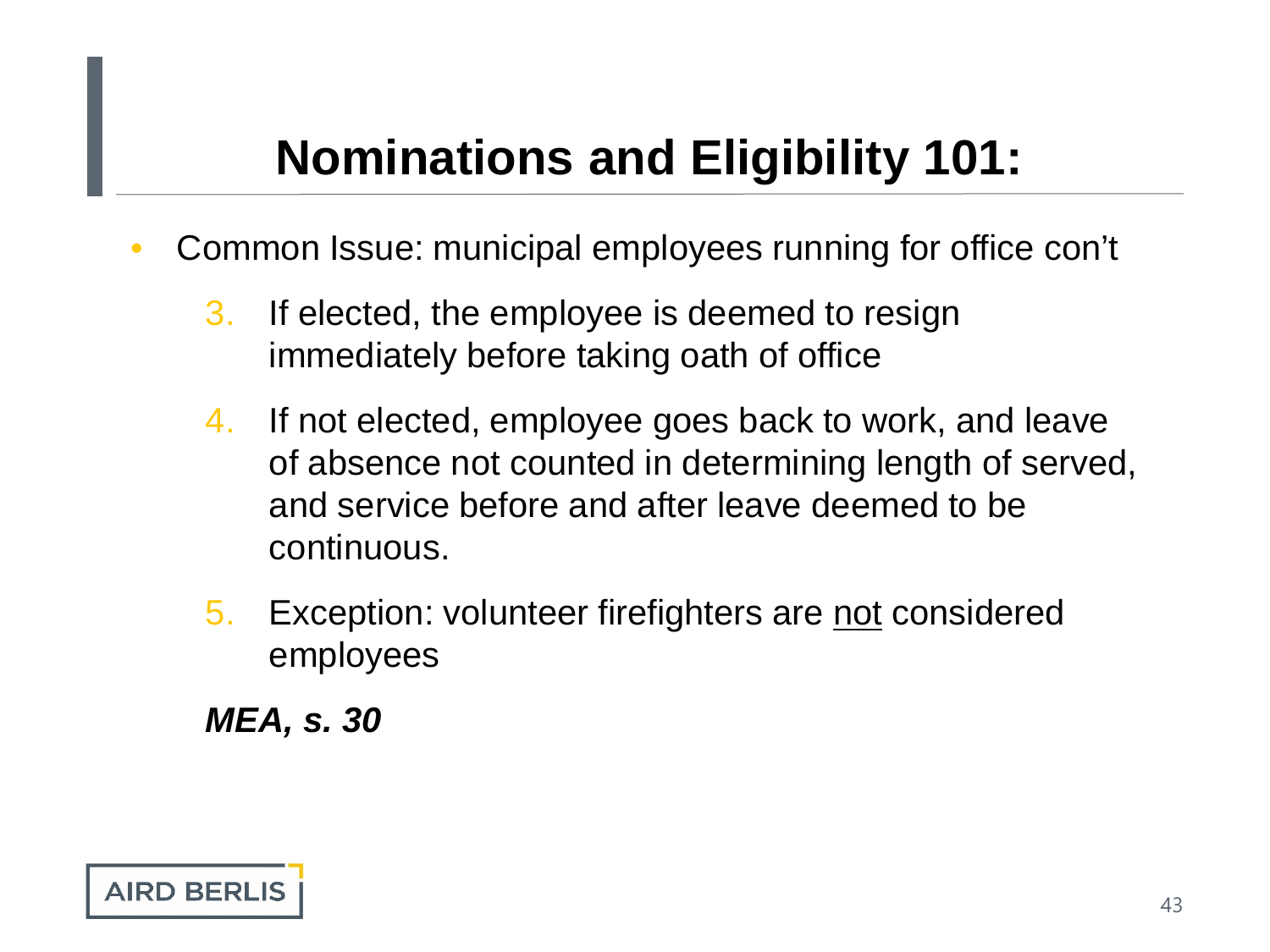- Common Issue: municipal employees running for office con't
	- 3. If elected, the employee is deemed to resign immediately before taking oath of office
	- 4. If not elected, employee goes back to work, and leave of absence not counted in determining length of served, and service before and after leave deemed to be continuous.
	- 5. Exception: volunteer firefighters are not considered employees

*MEA, s. 30*

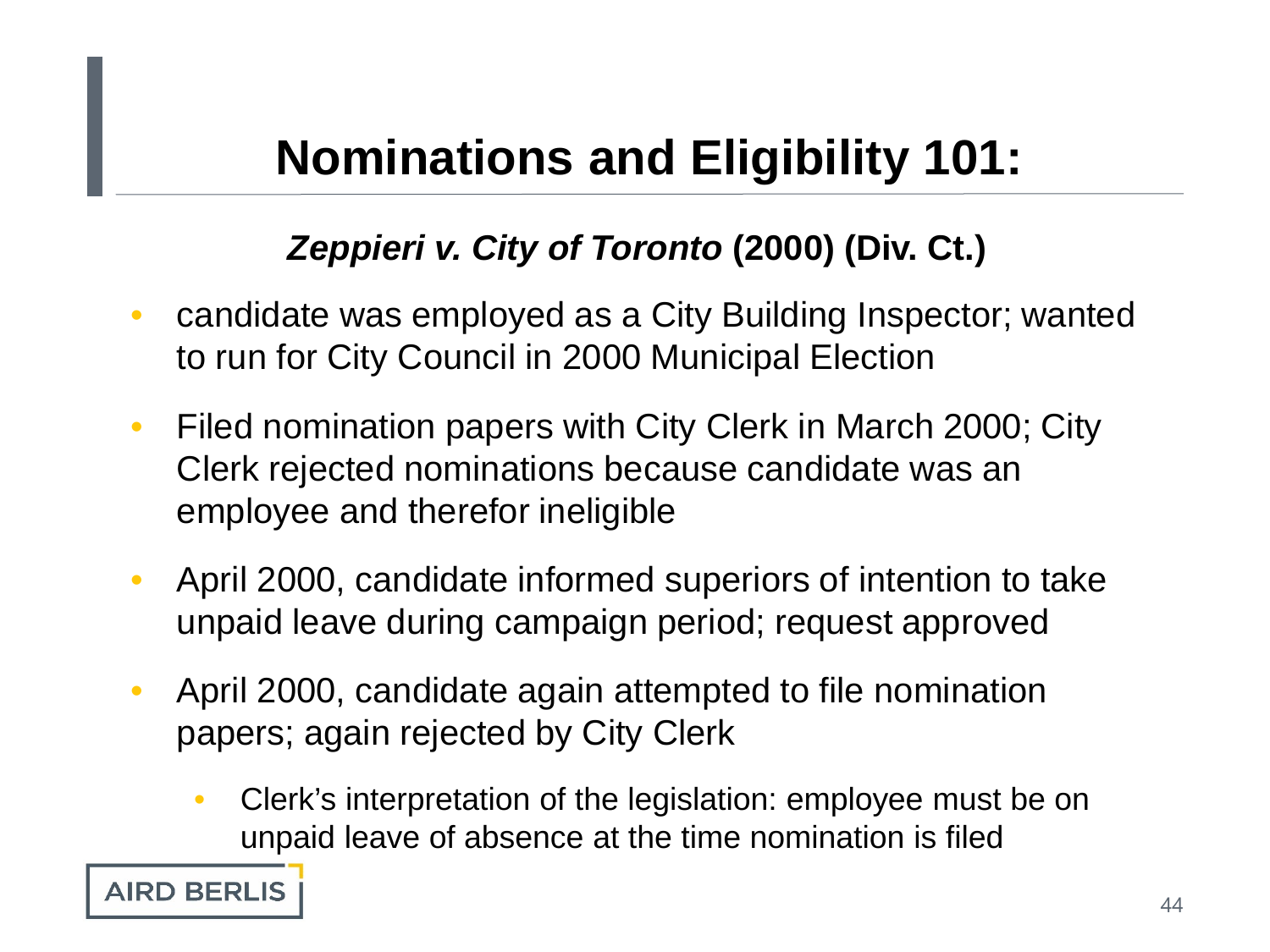#### *Zeppieri v. City of Toronto* **(2000) (Div. Ct.)**

- candidate was employed as a City Building Inspector; wanted to run for City Council in 2000 Municipal Election
- Filed nomination papers with City Clerk in March 2000; City Clerk rejected nominations because candidate was an employee and therefor ineligible
- April 2000, candidate informed superiors of intention to take unpaid leave during campaign period; request approved
- April 2000, candidate again attempted to file nomination papers; again rejected by City Clerk
	- Clerk's interpretation of the legislation: employee must be on unpaid leave of absence at the time nomination is filed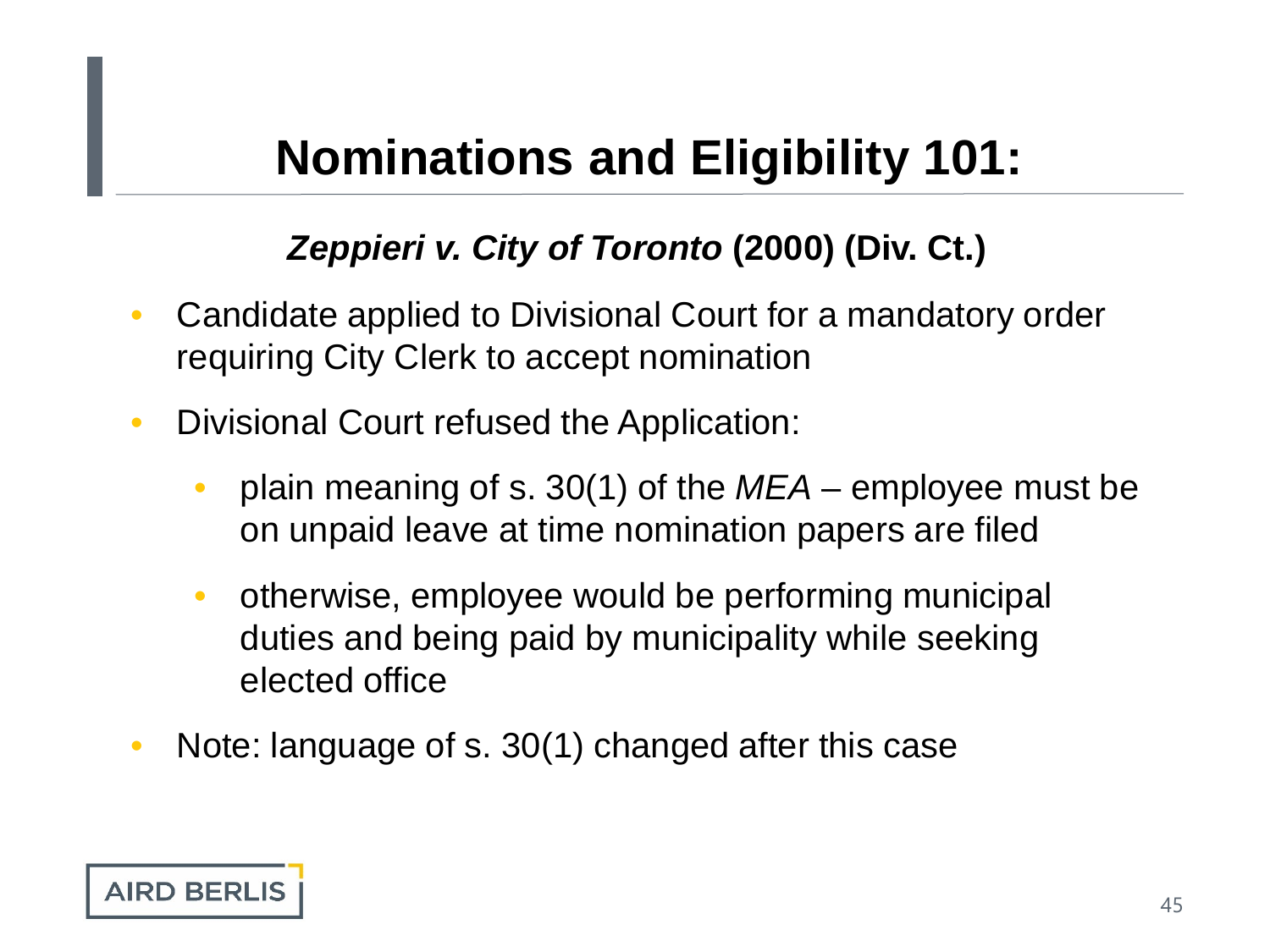#### *Zeppieri v. City of Toronto* **(2000) (Div. Ct.)**

- Candidate applied to Divisional Court for a mandatory order requiring City Clerk to accept nomination
- Divisional Court refused the Application:
	- plain meaning of s. 30(1) of the *MEA* employee must be on unpaid leave at time nomination papers are filed
	- otherwise, employee would be performing municipal duties and being paid by municipality while seeking elected office
- Note: language of s. 30(1) changed after this case

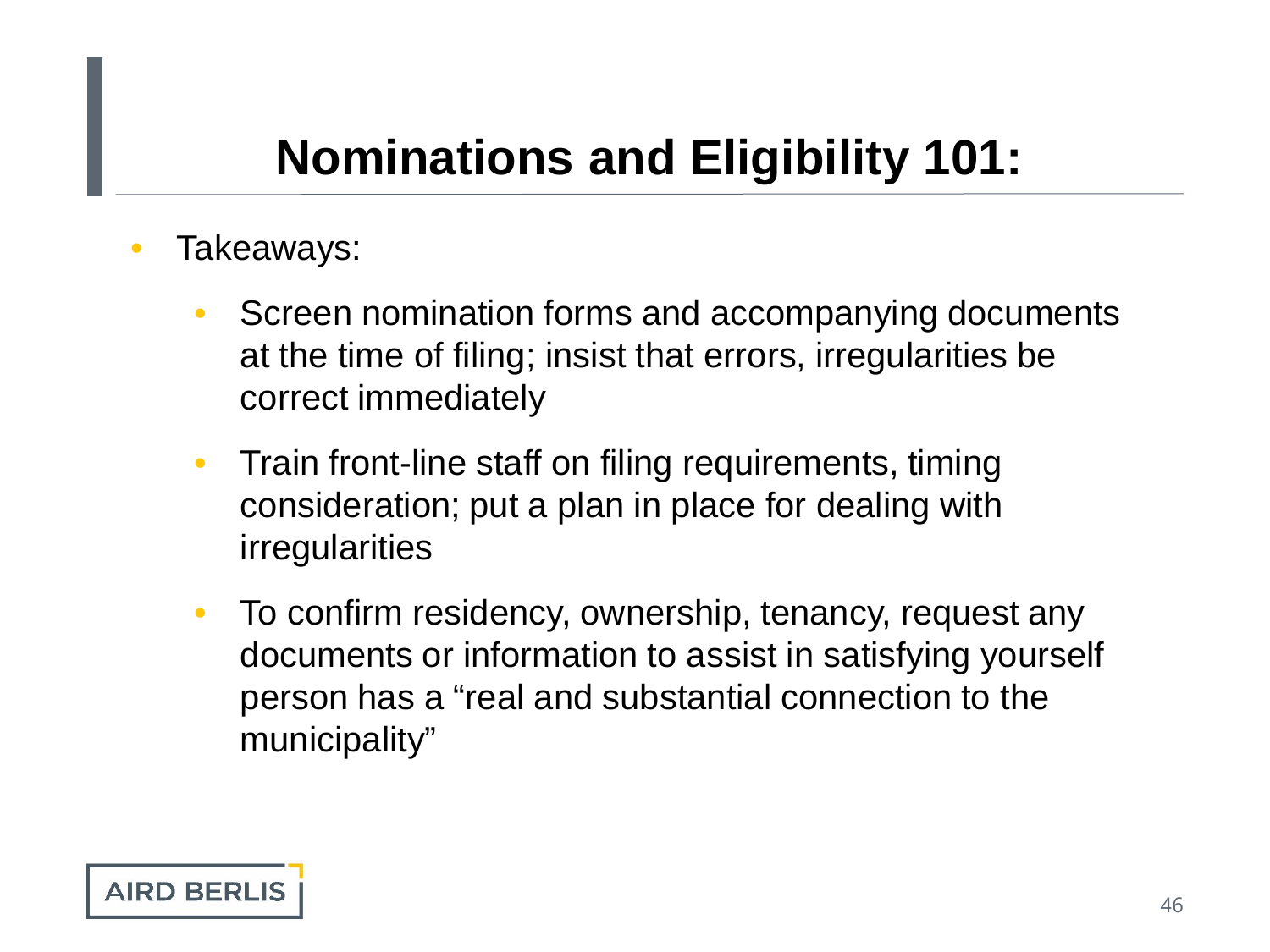- Takeaways:
	- Screen nomination forms and accompanying documents at the time of filing; insist that errors, irregularities be correct immediately
	- Train front-line staff on filing requirements, timing consideration; put a plan in place for dealing with irregularities
	- To confirm residency, ownership, tenancy, request any documents or information to assist in satisfying yourself person has a "real and substantial connection to the municipality"

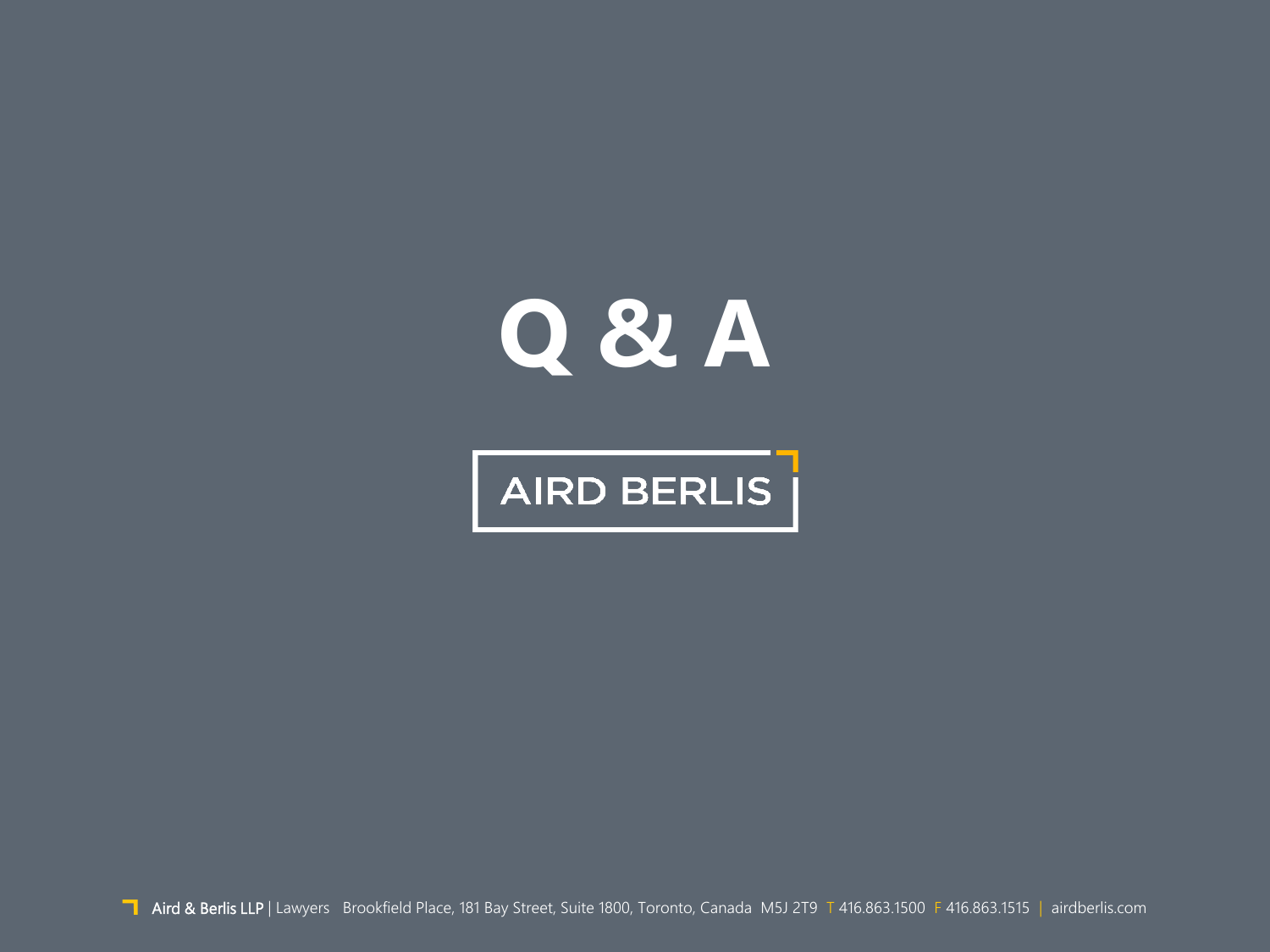# **Q & A**

# AIRD BERLIS |

Aird & Berlis LLP | Lawyers Brookfield Place, 181 Bay Street, Suite 1800, Toronto, Canada M5J 2T9 T 416.863.1500 F 416.863.1515 | airdberlis.com